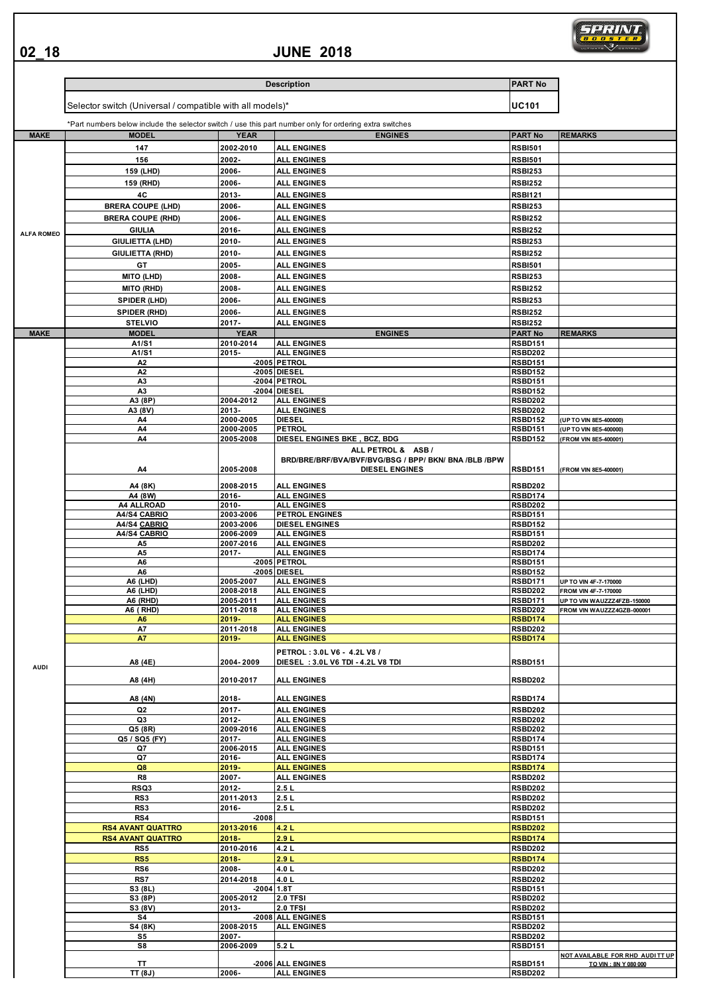**02\_18**

## **JUNE 2018**



|                   |                                                           |                          | <b>Description</b>                                                                                      | <b>PART No</b>                   |                                    |
|-------------------|-----------------------------------------------------------|--------------------------|---------------------------------------------------------------------------------------------------------|----------------------------------|------------------------------------|
|                   | Selector switch (Universal / compatible with all models)* |                          |                                                                                                         | <b>UC101</b>                     |                                    |
|                   |                                                           |                          | *Part numbers below include the selector switch / use this part number only for ordering extra switches |                                  |                                    |
| <b>MAKE</b>       | <b>MODEL</b>                                              | <b>YEAR</b>              | <b>ENGINES</b>                                                                                          | <b>PART No</b>                   | <b>REMARKS</b>                     |
|                   | 147<br>156                                                | 2002-2010                | <b>ALL ENGINES</b>                                                                                      | <b>RSBI501</b>                   |                                    |
|                   |                                                           | 2002-<br>2006-           | <b>ALL ENGINES</b><br><b>ALL ENGINES</b>                                                                | <b>RSBI501</b><br><b>RSBI253</b> |                                    |
|                   | 159 (LHD)                                                 | 2006-                    |                                                                                                         | <b>RSBI252</b>                   |                                    |
|                   | 159 (RHD)<br>4C                                           |                          | <b>ALL ENGINES</b>                                                                                      |                                  |                                    |
|                   |                                                           | 2013-<br>2006-           | <b>ALL ENGINES</b>                                                                                      | <b>RSBI121</b>                   |                                    |
|                   | <b>BRERA COUPE (LHD)</b>                                  |                          | <b>ALL ENGINES</b>                                                                                      | <b>RSBI253</b>                   |                                    |
|                   | <b>BRERA COUPE (RHD)</b>                                  | 2006-                    | <b>ALL ENGINES</b>                                                                                      | <b>RSBI252</b>                   |                                    |
| <b>ALFA ROMEO</b> | <b>GIULIA</b>                                             | 2016-                    | <b>ALL ENGINES</b>                                                                                      | <b>RSBI252</b>                   |                                    |
|                   | <b>GIULIETTA (LHD)</b>                                    | 2010-                    | <b>ALL ENGINES</b>                                                                                      | <b>RSBI253</b>                   |                                    |
|                   | <b>GIULIETTA (RHD)</b>                                    | 2010-                    | <b>ALL ENGINES</b>                                                                                      | <b>RSBI252</b>                   |                                    |
|                   | GT                                                        | 2005-                    | <b>ALL ENGINES</b>                                                                                      | <b>RSBI501</b>                   |                                    |
|                   | <b>MITO (LHD)</b>                                         | 2008-                    | <b>ALL ENGINES</b>                                                                                      | <b>RSBI253</b>                   |                                    |
|                   | <b>MITO (RHD)</b>                                         | 2008-                    | <b>ALL ENGINES</b>                                                                                      | <b>RSBI252</b>                   |                                    |
|                   | SPIDER (LHD)                                              | 2006-                    | <b>ALL ENGINES</b>                                                                                      | <b>RSBI253</b>                   |                                    |
|                   | <b>SPIDER (RHD)</b>                                       | 2006-                    | <b>ALL ENGINES</b>                                                                                      | <b>RSBI252</b>                   |                                    |
|                   | <b>STELVIO</b>                                            | 2017-                    | <b>ALL ENGINES</b>                                                                                      | <b>RSBI252</b>                   |                                    |
| <b>MAKE</b>       | <b>MODEL</b>                                              | <b>YEAR</b><br>2010-2014 | <b>ENGINES</b>                                                                                          | <b>PART No</b>                   | <b>REMARKS</b>                     |
|                   | A1/S1<br>A1/S1                                            | 2015-                    | <b>ALL ENGINES</b><br><b>ALL ENGINES</b>                                                                | <b>RSBD151</b><br><b>RSBD202</b> |                                    |
|                   | A2                                                        |                          | -2005 PETROL                                                                                            | <b>RSBD151</b>                   |                                    |
|                   | A <sub>2</sub>                                            |                          | -2005 DIESEL                                                                                            | <b>RSBD152</b>                   |                                    |
|                   | A <sub>3</sub>                                            |                          | -2004 PETROL                                                                                            | <b>RSBD151</b>                   |                                    |
|                   | A3                                                        |                          | -2004 DIESEL                                                                                            | <b>RSBD152</b>                   |                                    |
|                   | A3 (8P)                                                   | 2004-2012                | <b>ALL ENGINES</b>                                                                                      | <b>RSBD202</b>                   |                                    |
|                   | A3 (8V)<br>A4                                             | 2013-<br>2000-2005       | <b>ALL ENGINES</b><br><b>DIESEL</b>                                                                     | RSBD202<br><b>RSBD152</b>        | (UP TO VIN 8E5-400000)             |
|                   | A4                                                        | 2000-2005                | <b>PETROL</b>                                                                                           | <b>RSBD151</b>                   | (UP TO VIN 8E5-400000)             |
|                   | A4                                                        | 2005-2008                | DIESEL ENGINES BKE, BCZ, BDG                                                                            | <b>RSBD152</b>                   | (FROM VIN 8E5-400001)              |
|                   |                                                           |                          | ALL PETROL & ASB /                                                                                      |                                  |                                    |
|                   | A4                                                        | 2005-2008                | BRD/BRE/BRF/BVA/BVF/BVG/BSG / BPP/ BKN/ BNA /BLB /BPW<br><b>DIESEL ENGINES</b>                          | <b>RSBD151</b>                   | <b>FROM VIN 8E5-400001)</b>        |
|                   |                                                           |                          |                                                                                                         |                                  |                                    |
|                   | A4 (8K)                                                   | 2008-2015                | <b>ALL ENGINES</b>                                                                                      | <b>RSBD202</b>                   |                                    |
|                   | A4 (8W)                                                   | 2016-                    | <b>ALL ENGINES</b>                                                                                      | <b>RSBD174</b>                   |                                    |
|                   | <b>A4 ALLROAD</b><br>A4/S4 CABRIO                         | 2010-<br>2003-2006       | <b>ALL ENGINES</b><br>PETROL ENGINES                                                                    | <b>RSBD202</b><br><b>RSBD151</b> |                                    |
|                   | A4/S4 CABRIO                                              | 2003-2006                | <b>DIESEL ENGINES</b>                                                                                   | <b>RSBD152</b>                   |                                    |
|                   | A4/S4 CABRIO                                              | 2006-2009                | <b>ALL ENGINES</b>                                                                                      | <b>RSBD151</b>                   |                                    |
|                   | A5                                                        | 2007-2016                | <b>ALL ENGINES</b>                                                                                      | <b>RSBD202</b>                   |                                    |
|                   | A <sub>5</sub>                                            | 2017-                    | <b>ALL ENGINES</b>                                                                                      | <b>RSBD174</b>                   |                                    |
|                   | A6                                                        |                          | -2005 PETROL                                                                                            | <b>RSBD151</b>                   |                                    |
|                   | A <sub>6</sub><br>A6 (LHD)                                | 2005-2007                | -2005 DIESEL<br><b>ALL ENGINES</b>                                                                      | <b>RSBD152</b><br><b>RSBD171</b> | UP TO VIN 4F-7-170000              |
|                   | A6 (LHD)                                                  | 2008-2018                | <b>ALL ENGINES</b>                                                                                      | <b>RSBD202</b>                   | FROM VIN 4F-7-170000               |
|                   | A6 (RHD)                                                  | 2005-2011                | <b>ALL ENGINES</b>                                                                                      | RSBD171                          | <b>UP TO VIN WAUZZZ4FZB-150000</b> |
|                   | A6 (RHD)                                                  | 2011-2018                | <b>ALL ENGINES</b>                                                                                      | <b>RSBD202</b>                   | FROM VIN WAUZZZ4GZB-000001         |
|                   | A <sub>6</sub>                                            | $2019 -$                 | <b>ALL ENGINES</b>                                                                                      | <b>RSBD174</b>                   |                                    |
|                   | A7                                                        | 2011-2018                | <b>ALL ENGINES</b><br><b>ALL ENGINES</b>                                                                | <b>RSBD202</b>                   |                                    |
|                   | A7                                                        | 2019-                    |                                                                                                         | <b>RSBD174</b>                   |                                    |
|                   |                                                           |                          | PETROL: 3.0L V6 - 4.2L V8 /                                                                             |                                  |                                    |
| <b>AUDI</b>       | A8 (4E)                                                   | 2004-2009                | DIESEL : 3.0L V6 TDI - 4.2L V8 TDI                                                                      | <b>RSBD151</b>                   |                                    |
|                   | A8 (4H)                                                   | 2010-2017                | <b>ALL ENGINES</b>                                                                                      | <b>RSBD202</b>                   |                                    |
|                   |                                                           |                          |                                                                                                         |                                  |                                    |
|                   | A8 (4N)                                                   | 2018-                    | <b>ALL ENGINES</b>                                                                                      | <b>RSBD174</b>                   |                                    |
|                   | Q2                                                        | 2017-                    | <b>ALL ENGINES</b>                                                                                      | <b>RSBD202</b>                   |                                    |
|                   | Q3                                                        | 2012-                    | <b>ALL ENGINES</b>                                                                                      | <b>RSBD202</b>                   |                                    |
|                   | Q5 (8R)<br>Q5 / SQ5 (FY)                                  | 2009-2016<br>2017-       | <b>ALL ENGINES</b><br><b>ALL ENGINES</b>                                                                | <b>RSBD202</b><br><b>RSBD174</b> |                                    |
|                   | Q7                                                        | 2006-2015                | <b>ALL ENGINES</b>                                                                                      | <b>RSBD151</b>                   |                                    |
|                   | Q7                                                        | 2016-                    | <b>ALL ENGINES</b>                                                                                      | <b>RSBD174</b>                   |                                    |
|                   | Q8                                                        | 2019-                    | <b>ALL ENGINES</b>                                                                                      | <b>RSBD174</b>                   |                                    |
|                   | R8                                                        | 2007-                    | <b>ALL ENGINES</b>                                                                                      | <b>RSBD202</b>                   |                                    |
|                   | RSQ3                                                      | 2012-                    | 2.5L                                                                                                    | <b>RSBD202</b>                   |                                    |
|                   | RS3                                                       | 2011-2013                | 2.5L                                                                                                    | <b>RSBD202</b>                   |                                    |
|                   | RS3                                                       | 2016-                    | 2.5L                                                                                                    | <b>RSBD202</b>                   |                                    |
|                   | RS4<br><b>RS4 AVANT QUATTRO</b>                           | $-2008$<br>2013-2016     | 4.2 L                                                                                                   | <b>RSBD151</b><br><b>RSBD202</b> |                                    |
|                   | <b>RS4 AVANT QUATTRO</b>                                  | 2018-                    | 2.9L                                                                                                    | <b>RSBD174</b>                   |                                    |
|                   | RS5                                                       | 2010-2016                | 4.2L                                                                                                    | <b>RSBD202</b>                   |                                    |
|                   | RS5                                                       | 2018-                    | 2.9L                                                                                                    | <b>RSBD174</b>                   |                                    |
|                   | RS6                                                       | 2008-                    | 4.0 L                                                                                                   | <b>RSBD202</b>                   |                                    |
|                   | RS7                                                       | 2014-2018                | 4.0 L                                                                                                   | <b>RSBD202</b>                   |                                    |
|                   | S3 (8L)                                                   | $-2004$ 1.8T             |                                                                                                         | <b>RSBD151</b>                   |                                    |
|                   | S3 (8P)                                                   | 2005-2012                | <b>2.0 TFSI</b>                                                                                         | <b>RSBD202</b>                   |                                    |
|                   | S3 (8V)                                                   | 2013-                    | <b>2.0 TFSI</b>                                                                                         | <b>RSBD202</b>                   |                                    |
|                   | S4                                                        |                          | -2008 ALL ENGINES                                                                                       | <b>RSBD151</b>                   |                                    |
|                   | S4 (8K)<br>S5                                             | 2008-2015<br>2007-       | <b>ALL ENGINES</b>                                                                                      | <b>RSBD202</b><br><b>RSBD202</b> |                                    |
|                   | S8                                                        | 2006-2009                | 5.2 L                                                                                                   | <b>RSBD151</b>                   |                                    |
|                   |                                                           |                          |                                                                                                         |                                  | NOT AVAILABLE FOR RHD AUDITT UP    |
|                   | ΤT                                                        |                          | -2006 ALL ENGINES                                                                                       | <b>RSBD151</b>                   | TO VIN : 8N Y 080 000              |
|                   | TT(8J)                                                    | 2006-                    | <b>ALL ENGINES</b>                                                                                      | <b>RSBD202</b>                   |                                    |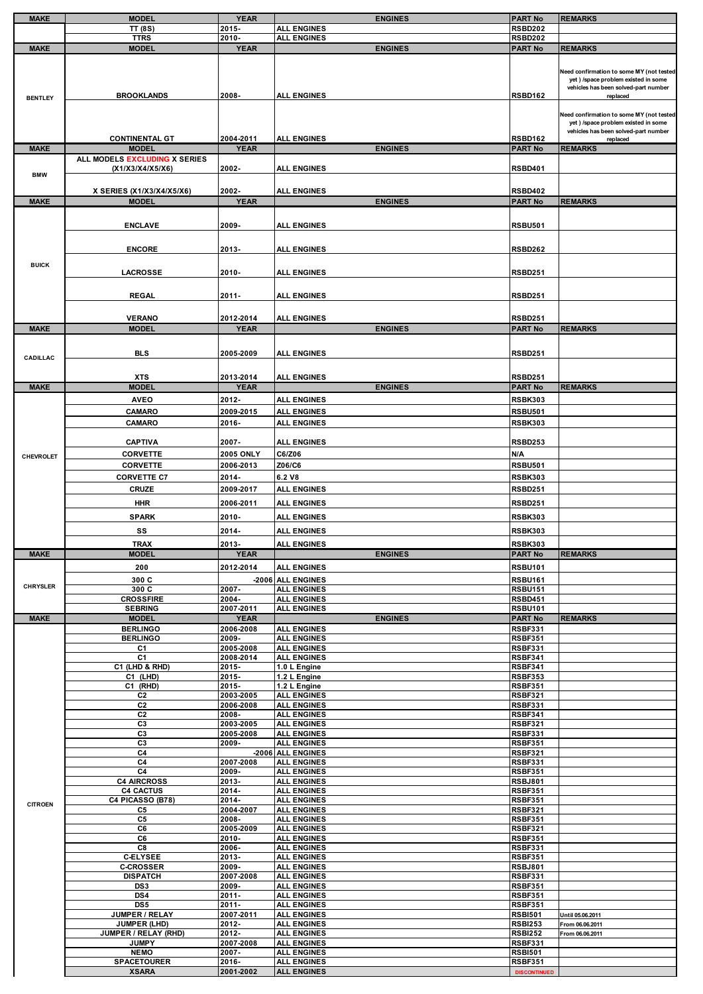| <b>MAKE</b>      | <b>MODEL</b>                                      | <b>YEAR</b>        | <b>ENGINES</b>                           | <b>PART No</b>                        | <b>REMARKS</b>                                                                                                                       |
|------------------|---------------------------------------------------|--------------------|------------------------------------------|---------------------------------------|--------------------------------------------------------------------------------------------------------------------------------------|
|                  | <b>TT (8S)</b>                                    | 2015-              | <b>ALL ENGINES</b>                       | <b>RSBD202</b>                        |                                                                                                                                      |
|                  | <b>TTRS</b>                                       | 2010-              | <b>ALL ENGINES</b>                       | <b>RSBD202</b>                        |                                                                                                                                      |
| <b>MAKE</b>      | <b>MODEL</b>                                      | <b>YEAR</b>        | <b>ENGINES</b>                           | <b>PART No</b>                        | <b>REMARKS</b>                                                                                                                       |
|                  |                                                   |                    |                                          |                                       |                                                                                                                                      |
| <b>BENTLEY</b>   | <b>BROOKLANDS</b>                                 | 2008-              | <b>ALL ENGINES</b>                       | <b>RSBD162</b>                        | Need confirmation to some MY (not tested<br>yet ) /space problem existed in some<br>vehicles has been solved-part number<br>replaced |
|                  | <b>CONTINENTAL GT</b>                             | 2004-2011          | <b>ALL ENGINES</b>                       | RSBD162                               | Need confirmation to some MY (not tested<br>yet ) /space problem existed in some<br>vehicles has been solved-part number<br>replaced |
| <b>MAKE</b>      | <b>MODEL</b>                                      | <b>YEAR</b>        | <b>ENGINES</b>                           | <b>PART No</b>                        | <b>REMARKS</b>                                                                                                                       |
| <b>BMW</b>       | ALL MODELS EXCLUDING X SERIES<br>(X1/X3/X4/X5/X6) | 2002-              | <b>ALL ENGINES</b>                       | <b>RSBD401</b>                        |                                                                                                                                      |
|                  | X SERIES (X1/X3/X4/X5/X6)                         | 2002-              | <b>ALL ENGINES</b>                       | <b>RSBD402</b>                        |                                                                                                                                      |
| <b>MAKE</b>      | <b>MODEL</b>                                      | <b>YEAR</b>        | <b>ENGINES</b>                           | <b>PART No</b>                        | <b>REMARKS</b>                                                                                                                       |
|                  |                                                   |                    |                                          |                                       |                                                                                                                                      |
|                  | <b>ENCLAVE</b>                                    | 2009-              | <b>ALL ENGINES</b>                       | <b>RSBU501</b>                        |                                                                                                                                      |
|                  |                                                   |                    |                                          |                                       |                                                                                                                                      |
|                  |                                                   |                    |                                          |                                       |                                                                                                                                      |
|                  | <b>ENCORE</b>                                     | 2013-              | <b>ALL ENGINES</b>                       | RSBD262                               |                                                                                                                                      |
| <b>BUICK</b>     |                                                   |                    |                                          |                                       |                                                                                                                                      |
|                  | <b>LACROSSE</b>                                   | 2010-              | <b>ALL ENGINES</b>                       | <b>RSBD251</b>                        |                                                                                                                                      |
|                  |                                                   |                    |                                          |                                       |                                                                                                                                      |
|                  |                                                   |                    |                                          |                                       |                                                                                                                                      |
|                  | <b>REGAL</b>                                      | 2011-              | <b>ALL ENGINES</b>                       | <b>RSBD251</b>                        |                                                                                                                                      |
|                  |                                                   |                    |                                          |                                       |                                                                                                                                      |
|                  | <b>VERANO</b>                                     | 2012-2014          | <b>ALL ENGINES</b>                       | <b>RSBD251</b>                        |                                                                                                                                      |
| <b>MAKE</b>      | <b>MODEL</b>                                      | <b>YEAR</b>        | <b>ENGINES</b>                           | <b>PART No</b>                        | <b>REMARKS</b>                                                                                                                       |
|                  |                                                   |                    |                                          |                                       |                                                                                                                                      |
|                  |                                                   |                    |                                          |                                       |                                                                                                                                      |
| CADILLAC         | <b>BLS</b>                                        | 2005-2009          | <b>ALL ENGINES</b>                       | <b>RSBD251</b>                        |                                                                                                                                      |
|                  |                                                   |                    |                                          |                                       |                                                                                                                                      |
|                  | <b>XTS</b>                                        | 2013-2014          | <b>ALL ENGINES</b>                       | <b>RSBD251</b>                        |                                                                                                                                      |
| <b>MAKE</b>      | <b>MODEL</b>                                      | <b>YEAR</b>        | <b>ENGINES</b>                           | <b>PART No</b>                        | <b>REMARKS</b>                                                                                                                       |
|                  | <b>AVEO</b>                                       | 2012-              | <b>ALL ENGINES</b>                       | <b>RSBK303</b>                        |                                                                                                                                      |
|                  | CAMARO                                            | 2009-2015          | <b>ALL ENGINES</b>                       | <b>RSBU501</b>                        |                                                                                                                                      |
|                  | <b>CAMARO</b>                                     | 2016-              | <b>ALL ENGINES</b>                       | <b>RSBK303</b>                        |                                                                                                                                      |
|                  |                                                   |                    |                                          |                                       |                                                                                                                                      |
|                  | <b>CAPTIVA</b>                                    | 2007-              | <b>ALL ENGINES</b>                       | <b>RSBD253</b>                        |                                                                                                                                      |
|                  |                                                   | <b>2005 ONLY</b>   | C6/Z06                                   | N/A                                   |                                                                                                                                      |
| <b>CHEVROLET</b> | <b>CORVETTE</b>                                   |                    |                                          |                                       |                                                                                                                                      |
|                  | <b>CORVETTE</b>                                   | 2006-2013          | Z06/C6                                   | <b>RSBU501</b>                        |                                                                                                                                      |
|                  | <b>CORVETTE C7</b>                                | 2014-              | 6.2 V8                                   | <b>RSBK303</b>                        |                                                                                                                                      |
|                  | <b>CRUZE</b>                                      | 2009-2017          | <b>ALL ENGINES</b>                       | <b>RSBD251</b>                        |                                                                                                                                      |
|                  | <b>HHR</b>                                        | 2006-2011          | <b>ALL ENGINES</b>                       | <b>RSBD251</b>                        |                                                                                                                                      |
|                  |                                                   |                    |                                          |                                       |                                                                                                                                      |
|                  | <b>SPARK</b>                                      | 2010-              | <b>ALL ENGINES</b>                       | <b>RSBK303</b>                        |                                                                                                                                      |
|                  | SS                                                | 2014-              | <b>ALL ENGINES</b>                       | <b>RSBK303</b>                        |                                                                                                                                      |
|                  | TRAX                                              | 2013-              | <b>ALL ENGINES</b>                       | <b>RSBK303</b>                        |                                                                                                                                      |
| <b>MAKE</b>      | <b>MODEL</b>                                      | <b>YEAR</b>        | <b>ENGINES</b>                           | <b>PART No</b>                        | <b>REMARKS</b>                                                                                                                       |
|                  |                                                   |                    |                                          |                                       |                                                                                                                                      |
|                  | 200                                               | 2012-2014          | <b>ALL ENGINES</b>                       | <b>RSBU101</b>                        |                                                                                                                                      |
| <b>CHRYSLER</b>  | 300 C                                             |                    | -2006 ALL ENGINES                        | <b>RSBU161</b>                        |                                                                                                                                      |
|                  | 300 C                                             | 2007-              | <b>ALL ENGINES</b>                       | <b>RSBU151</b>                        |                                                                                                                                      |
|                  | <b>CROSSFIRE</b>                                  | 2004-              | <b>ALL ENGINES</b>                       | <b>RSBD451</b>                        |                                                                                                                                      |
|                  | <b>SEBRING</b>                                    | 2007-2011          | <b>ALL ENGINES</b>                       | <b>RSBU101</b>                        |                                                                                                                                      |
| <b>MAKE</b>      | <b>MODEL</b>                                      | <b>YEAR</b>        | <b>ENGINES</b>                           |                                       |                                                                                                                                      |
|                  |                                                   |                    |                                          | <b>PART No</b>                        | <b>REMARKS</b>                                                                                                                       |
|                  | <b>BERLINGO</b>                                   | 2006-2008          | <b>ALL ENGINES</b>                       | <b>RSBF331</b>                        |                                                                                                                                      |
|                  | <b>BERLINGO</b>                                   | 2009-              | <b>ALL ENGINES</b>                       | <b>RSBF351</b>                        |                                                                                                                                      |
|                  | C1                                                | 2005-2008          | <b>ALL ENGINES</b>                       | <b>RSBF331</b>                        |                                                                                                                                      |
|                  | C <sub>1</sub>                                    | 2008-2014          | <b>ALL ENGINES</b>                       | <b>RSBF341</b>                        |                                                                                                                                      |
|                  | C1 (LHD & RHD)                                    | 2015-              | 1.0 L Engine                             | <b>RSBF341</b>                        |                                                                                                                                      |
|                  | C1 (LHD)<br>C1 (RHD)                              | 2015-<br>2015-     | 1.2 L Engine<br>1.2 L Engine             | <b>RSBF353</b><br><b>RSBF351</b>      |                                                                                                                                      |
|                  | C2                                                | 2003-2005          | <b>ALL ENGINES</b>                       | <b>RSBF321</b>                        |                                                                                                                                      |
|                  | C2                                                | 2006-2008          | <b>ALL ENGINES</b>                       | <b>RSBF331</b>                        |                                                                                                                                      |
|                  | C <sub>2</sub>                                    | 2008-              | <b>ALL ENGINES</b>                       | <b>RSBF341</b>                        |                                                                                                                                      |
|                  | C3                                                | 2003-2005          | <b>ALL ENGINES</b>                       | <b>RSBF321</b>                        |                                                                                                                                      |
|                  | C <sub>3</sub>                                    | 2005-2008          | <b>ALL ENGINES</b>                       | <b>RSBF331</b>                        |                                                                                                                                      |
|                  | C <sub>3</sub>                                    | 2009-              | <b>ALL ENGINES</b>                       | <b>RSBF351</b>                        |                                                                                                                                      |
|                  | C4                                                |                    | -2006 ALL ENGINES                        | <b>RSBF321</b>                        |                                                                                                                                      |
|                  | C4                                                | 2007-2008          | <b>ALL ENGINES</b>                       | <b>RSBF331</b>                        |                                                                                                                                      |
|                  | C4                                                | 2009-              | <b>ALL ENGINES</b>                       | <b>RSBF351</b>                        |                                                                                                                                      |
|                  | <b>C4 AIRCROSS</b>                                | 2013-              | <b>ALL ENGINES</b>                       | <b>RSBJ801</b>                        |                                                                                                                                      |
|                  | <b>C4 CACTUS</b>                                  | 2014-              | <b>ALL ENGINES</b>                       | <b>RSBF351</b>                        |                                                                                                                                      |
| <b>CITROEN</b>   | C4 PICASSO (B78)                                  | 2014-              | <b>ALL ENGINES</b>                       | <b>RSBF351</b>                        |                                                                                                                                      |
|                  | C5                                                | 2004-2007          | <b>ALL ENGINES</b>                       | <b>RSBF321</b>                        |                                                                                                                                      |
|                  | C5<br>C6                                          | 2008-              | <b>ALL ENGINES</b>                       | <b>RSBF351</b>                        |                                                                                                                                      |
|                  | C6                                                | 2005-2009<br>2010- | <b>ALL ENGINES</b><br><b>ALL ENGINES</b> | <b>RSBF321</b><br><b>RSBF351</b>      |                                                                                                                                      |
|                  | C8                                                | 2006-              | <b>ALL ENGINES</b>                       | <b>RSBF331</b>                        |                                                                                                                                      |
|                  | <b>C-ELYSEE</b>                                   | 2013-              | <b>ALL ENGINES</b>                       | <b>RSBF351</b>                        |                                                                                                                                      |
|                  | <b>C-CROSSER</b>                                  | 2009-              | <b>ALL ENGINES</b>                       | <b>RSBJ801</b>                        |                                                                                                                                      |
|                  | <b>DISPATCH</b>                                   | 2007-2008          | <b>ALL ENGINES</b>                       | <b>RSBF331</b>                        |                                                                                                                                      |
|                  | DS3                                               | 2009-              | <b>ALL ENGINES</b>                       | <b>RSBF351</b>                        |                                                                                                                                      |
|                  | DS4                                               | $2011 -$           | <b>ALL ENGINES</b>                       | <b>RSBF351</b>                        |                                                                                                                                      |
|                  | DS5                                               | $2011 -$           | <b>ALL ENGINES</b>                       | <b>RSBF351</b>                        |                                                                                                                                      |
|                  | JUMPER / RELAY                                    | 2007-2011          | <b>ALL ENGINES</b>                       | <b>RSBI501</b>                        | Until 05.06.2011                                                                                                                     |
|                  | <b>JUMPER (LHD)</b>                               | 2012-              | <b>ALL ENGINES</b>                       | <b>RSBI253</b>                        | From 06.06.2011                                                                                                                      |
|                  | JUMPER / RELAY (RHD)                              | 2012-              | <b>ALL ENGINES</b>                       | <b>RSBI252</b>                        | From 06.06.2011                                                                                                                      |
|                  | <b>JUMPY</b>                                      | 2007-2008          | <b>ALL ENGINES</b>                       | <b>RSBF331</b>                        |                                                                                                                                      |
|                  | <b>NEMO</b>                                       | 2007-              | <b>ALL ENGINES</b>                       | <b>RSBI501</b>                        |                                                                                                                                      |
|                  | <b>SPACETOURER</b><br><b>XSARA</b>                | 2016-<br>2001-2002 | <b>ALL ENGINES</b><br><b>ALL ENGINES</b> | <b>RSBF351</b><br><b>DISCONTINUED</b> |                                                                                                                                      |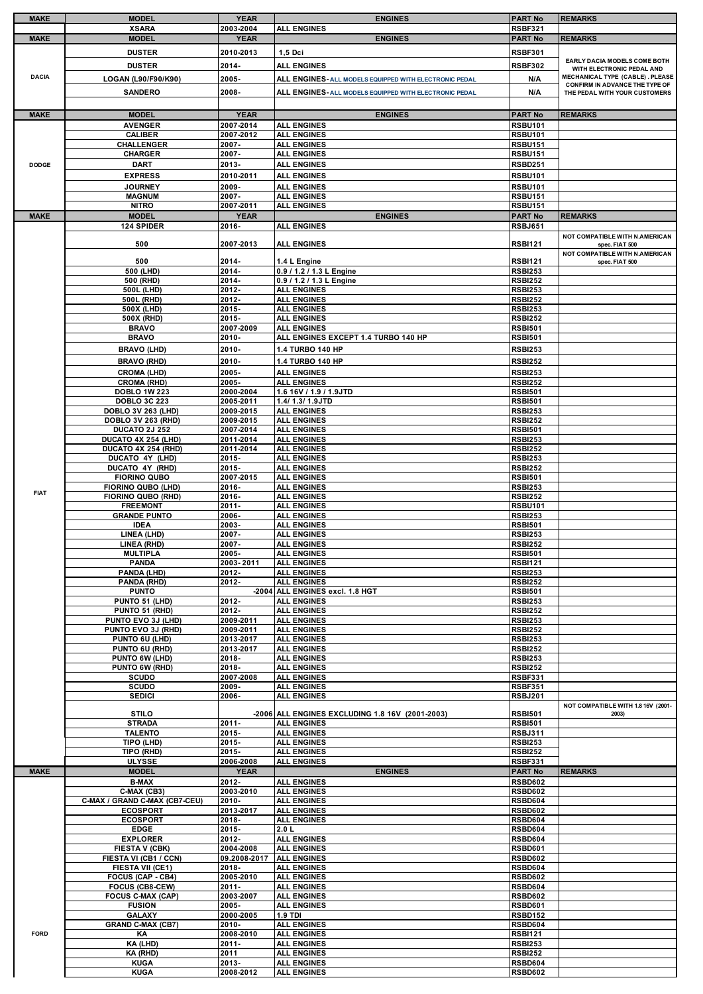| <b>MAKE</b>  | <b>MODEL</b>                                     | <b>YEAR</b>            | <b>ENGINES</b>                                         | <b>PART No</b>                   | <b>REMARKS</b>                                                    |
|--------------|--------------------------------------------------|------------------------|--------------------------------------------------------|----------------------------------|-------------------------------------------------------------------|
|              | <b>XSARA</b>                                     | 2003-2004              | <b>ALL ENGINES</b>                                     | <b>RSBF321</b>                   |                                                                   |
| <b>MAKE</b>  | <b>MODEL</b>                                     | <b>YEAR</b>            | <b>ENGINES</b>                                         | <b>PART No</b>                   | <b>REMARKS</b>                                                    |
|              | <b>DUSTER</b>                                    | 2010-2013              | 1,5 Dci                                                | <b>RSBF301</b>                   | EARLY DACIA MODELS COME BOTH                                      |
|              | <b>DUSTER</b>                                    | 2014-                  | <b>ALL ENGINES</b>                                     | <b>RSBF302</b>                   | WITH ELECTRONIC PEDAL AND                                         |
| <b>DACIA</b> | LOGAN (L90/F90/K90)                              | 2005-                  | ALL ENGINES- ALL MODELS EQUIPPED WITH ELECTRONIC PEDAL | N/A                              | MECHANICAL TYPE (CABLE). PLEASE<br>CONFIRM IN ADVANCE THE TYPE OF |
|              | <b>SANDERO</b>                                   | 2008-                  | ALL ENGINES- ALL MODELS EQUIPPED WITH ELECTRONIC PEDAL | N/A                              | THE PEDAL WITH YOUR CUSTOMERS                                     |
|              |                                                  |                        |                                                        |                                  |                                                                   |
| <b>MAKE</b>  | <b>MODEL</b>                                     | <b>YEAR</b>            | <b>ENGINES</b>                                         | <b>PART No</b>                   | <b>REMARKS</b>                                                    |
|              | <b>AVENGER</b><br><b>CALIBER</b>                 | 2007-2014<br>2007-2012 | <b>ALL ENGINES</b><br><b>ALL ENGINES</b>               | <b>RSBU101</b><br><b>RSBU101</b> |                                                                   |
|              | <b>CHALLENGER</b>                                | 2007-                  | <b>ALL ENGINES</b>                                     | <b>RSBU151</b>                   |                                                                   |
|              | <b>CHARGER</b>                                   | 2007-                  | <b>ALL ENGINES</b>                                     | <b>RSBU151</b>                   |                                                                   |
| <b>DODGE</b> | <b>DART</b>                                      | 2013-                  | <b>ALL ENGINES</b>                                     | RSBD251                          |                                                                   |
|              | <b>EXPRESS</b><br><b>JOURNEY</b>                 | 2010-2011<br>2009-     | <b>ALL ENGINES</b>                                     | <b>RSBU101</b><br><b>RSBU101</b> |                                                                   |
|              | <b>MAGNUM</b>                                    | 2007-                  | <b>ALL ENGINES</b><br><b>ALL ENGINES</b>               | <b>RSBU151</b>                   |                                                                   |
|              | <b>NITRO</b>                                     | 2007-2011              | <b>ALL ENGINES</b>                                     | <b>RSBU151</b>                   |                                                                   |
| <b>MAKE</b>  | <b>MODEL</b>                                     | <b>YEAR</b>            | <b>ENGINES</b>                                         | <b>PART No</b>                   | <b>REMARKS</b>                                                    |
|              | 124 SPIDER                                       | 2016-                  | <b>ALL ENGINES</b>                                     | <b>RSBJ651</b>                   | NOT COMPATIBLE WITH N.AMERICAN                                    |
|              | 500                                              | 2007-2013              | <b>ALL ENGINES</b>                                     | <b>RSBI121</b>                   | spec. FIAT 500                                                    |
|              | 500                                              | 2014-                  | 1.4 L Engine                                           | <b>RSBI121</b>                   | NOT COMPATIBLE WITH N.AMERICAN                                    |
|              | 500 (LHD)                                        | 2014-                  | 0.9 / 1.2 / 1.3 L Engine                               | <b>RSBI253</b>                   | spec. FIAT 500                                                    |
|              | 500 (RHD)                                        | 2014-                  | 0.9 / 1.2 / 1.3 L Engine                               | <b>RSBI252</b>                   |                                                                   |
|              | 500L (LHD)                                       | 2012-<br>2012-         | <b>ALL ENGINES</b><br><b>ALL ENGINES</b>               | <b>RSBI253</b><br><b>RSBI252</b> |                                                                   |
|              | 500L (RHD)<br>500X (LHD)                         | 2015-                  | <b>ALL ENGINES</b>                                     | <b>RSBI253</b>                   |                                                                   |
|              | 500X (RHD)                                       | 2015-                  | <b>ALL ENGINES</b>                                     | <b>RSBI252</b>                   |                                                                   |
|              | <b>BRAVO</b>                                     | 2007-2009              | <b>ALL ENGINES</b>                                     | <b>RSBI501</b>                   |                                                                   |
|              | <b>BRAVO</b>                                     | $2010 -$               | ALL ENGINES EXCEPT 1.4 TURBO 140 HP                    | <b>RSBI501</b>                   |                                                                   |
|              | <b>BRAVO (LHD)</b><br><b>BRAVO (RHD)</b>         | 2010-<br>2010-         | 1.4 TURBO 140 HP<br>1.4 TURBO 140 HP                   | <b>RSBI253</b><br><b>RSBI252</b> |                                                                   |
|              | <b>CROMA (LHD)</b>                               | 2005-                  | <b>ALL ENGINES</b>                                     | <b>RSBI253</b>                   |                                                                   |
|              | <b>CROMA (RHD)</b>                               | 2005-                  | <b>ALL ENGINES</b>                                     | <b>RSBI252</b>                   |                                                                   |
|              | <b>DOBLO 1W 223</b>                              | 2000-2004              | 1.6 16V / 1.9 / 1.9JTD                                 | <b>RSBI501</b>                   |                                                                   |
|              | <b>DOBLO 3C 223</b><br><b>DOBLO 3V 263 (LHD)</b> | 2005-2011<br>2009-2015 | 1.4/ 1.3/ 1.9JTD<br><b>ALL ENGINES</b>                 | <b>RSBI501</b><br><b>RSBI253</b> |                                                                   |
|              | DOBLO 3V 263 (RHD)                               | 2009-2015              | <b>ALL ENGINES</b>                                     | <b>RSBI252</b>                   |                                                                   |
|              | <b>DUCATO 2J 252</b>                             | 2007-2014              | <b>ALL ENGINES</b>                                     | <b>RSBI501</b>                   |                                                                   |
|              | DUCATO 4X 254 (LHD)<br>DUCATO 4X 254 (RHD)       | 2011-2014<br>2011-2014 | <b>ALL ENGINES</b><br><b>ALL ENGINES</b>               | <b>RSBI253</b><br><b>RSBI252</b> |                                                                   |
|              | DUCATO 4Y (LHD)                                  | 2015-                  | <b>ALL ENGINES</b>                                     | <b>RSBI253</b>                   |                                                                   |
|              | DUCATO 4Y (RHD)                                  | 2015-                  | <b>ALL ENGINES</b>                                     | <b>RSBI252</b>                   |                                                                   |
|              | <b>FIORINO QUBO</b>                              | 2007-2015              | <b>ALL ENGINES</b>                                     | <b>RSBI501</b>                   |                                                                   |
| <b>FIAT</b>  | <b>FIORINO QUBO (LHD)</b><br>FIORINO QUBO (RHD)  | 2016-<br>2016-         | <b>ALL ENGINES</b><br><b>ALL ENGINES</b>               | <b>RSBI253</b><br><b>RSBI252</b> |                                                                   |
|              | <b>FREEMONT</b>                                  | 2011-                  | <b>ALL ENGINES</b>                                     | <b>RSBU101</b>                   |                                                                   |
|              | <b>GRANDE PUNTO</b>                              | 2006-                  | <b>ALL ENGINES</b>                                     | <b>RSBI253</b>                   |                                                                   |
|              | <b>IDEA</b><br>LINEA (LHD)                       | 2003-<br>2007-         | <b>ALL ENGINES</b><br><b>ALL ENGINES</b>               | <b>RSBI501</b><br><b>RSBI253</b> |                                                                   |
|              | LINEA (RHD)                                      | 2007-                  | <b>ALL ENGINES</b>                                     | <b>RSBI252</b>                   |                                                                   |
|              | <b>MULTIPLA</b>                                  | 2005-                  | <b>ALL ENGINES</b>                                     | <b>RSBI501</b>                   |                                                                   |
|              | <b>PANDA</b><br>PANDA (LHD)                      | 2003-2011<br>2012-     | <b>ALL ENGINES</b><br><b>ALL ENGINES</b>               | <b>RSBI121</b><br><b>RSBI253</b> |                                                                   |
|              | PANDA (RHD)                                      | 2012-                  | <b>ALL ENGINES</b>                                     | <b>RSBI252</b>                   |                                                                   |
|              | <b>PUNTO</b>                                     |                        | -2004 ALL ENGINES excl. 1.8 HGT                        | <b>RSBI501</b>                   |                                                                   |
|              | PUNTO 51 (LHD)<br>PUNTO 51 (RHD)                 | 2012-<br>2012-         | <b>ALL ENGINES</b><br><b>ALL ENGINES</b>               | <b>RSBI253</b><br><b>RSBI252</b> |                                                                   |
|              | PUNTO EVO 3J (LHD)                               | 2009-2011              | <b>ALL ENGINES</b>                                     | <b>RSBI253</b>                   |                                                                   |
|              | PUNTO EVO 3J (RHD)                               | 2009-2011              | <b>ALL ENGINES</b>                                     | <b>RSBI252</b>                   |                                                                   |
|              | PUNTO 6U (LHD)<br>PUNTO 6U (RHD)                 | 2013-2017<br>2013-2017 | <b>ALL ENGINES</b><br><b>ALL ENGINES</b>               | <b>RSBI253</b><br><b>RSBI252</b> |                                                                   |
|              | PUNTO 6W (LHD)                                   | 2018-                  | <b>ALL ENGINES</b>                                     | <b>RSBI253</b>                   |                                                                   |
|              | PUNTO 6W (RHD)                                   | 2018-                  | <b>ALL ENGINES</b>                                     | <b>RSBI252</b>                   |                                                                   |
|              | <b>SCUDO</b><br><b>SCUDO</b>                     | 2007-2008<br>2009-     | <b>ALL ENGINES</b><br><b>ALL ENGINES</b>               | <b>RSBF331</b><br><b>RSBF351</b> |                                                                   |
|              | <b>SEDICI</b>                                    | 2006-                  | <b>ALL ENGINES</b>                                     | <b>RSBJ201</b>                   |                                                                   |
|              | STIL <sub>O</sub>                                |                        | -2006 ALL ENGINES EXCLUDING 1.8 16V (2001-2003)        | <b>RSBI501</b>                   | NOT COMPATIBLE WITH 1.8 16V (2001-<br>2003)                       |
|              | <b>STRADA</b>                                    | 2011-                  | <b>ALL ENGINES</b>                                     | <b>RSBI501</b>                   |                                                                   |
|              | <b>TALENTO</b>                                   | 2015-                  | <b>ALL ENGINES</b>                                     | <b>RSBJ311</b>                   |                                                                   |
|              | TIPO (LHD)<br>TIPO (RHD)                         | $2015 -$<br>$2015 -$   | <b>ALL ENGINES</b><br><b>ALL ENGINES</b>               | <b>RSBI253</b><br><b>RSBI252</b> |                                                                   |
|              | <b>ULYSSE</b>                                    | 2006-2008              | <b>ALL ENGINES</b>                                     | <b>RSBF331</b>                   |                                                                   |
| <b>MAKE</b>  | <b>MODEL</b>                                     | <b>YEAR</b>            | <b>ENGINES</b>                                         | <b>PART No</b>                   | <b>REMARKS</b>                                                    |
|              | <b>B-MAX</b>                                     | 2012-                  | <b>ALL ENGINES</b>                                     | <b>RSBD602</b>                   |                                                                   |
|              | C-MAX (CB3)<br>C-MAX / GRAND C-MAX (CB7-CEU)     | 2003-2010<br>2010-     | <b>ALL ENGINES</b><br><b>ALL ENGINES</b>               | <b>RSBD602</b><br><b>RSBD604</b> |                                                                   |
|              | <b>ECOSPORT</b>                                  | 2013-2017              | <b>ALL ENGINES</b>                                     | <b>RSBD602</b>                   |                                                                   |
|              | <b>ECOSPORT</b>                                  | 2018-                  | <b>ALL ENGINES</b>                                     | <b>RSBD604</b>                   |                                                                   |
|              | <b>EDGE</b><br><b>EXPLORER</b>                   | 2015-<br>2012-         | 2.0 L<br><b>ALL ENGINES</b>                            | <b>RSBD604</b><br>RSBD604        |                                                                   |
|              | <b>FIESTA V (CBK)</b>                            | 2004-2008              | <b>ALL ENGINES</b>                                     | <b>RSBD601</b>                   |                                                                   |
|              | FIESTA VI (CB1 / CCN)                            | 09.2008-2017           | <b>ALL ENGINES</b>                                     | <b>RSBD602</b>                   |                                                                   |
|              | FIESTA VII (CE1)<br>FOCUS (CAP - CB4)            | 2018-<br>2005-2010     | <b>ALL ENGINES</b><br><b>ALL ENGINES</b>               | <b>RSBD604</b><br><b>RSBD602</b> |                                                                   |
|              | FOCUS (CB8-CEW)                                  | $2011 -$               | <b>ALL ENGINES</b>                                     | <b>RSBD604</b>                   |                                                                   |
|              | <b>FOCUS C-MAX (CAP)</b>                         | 2003-2007              | <b>ALL ENGINES</b>                                     | <b>RSBD602</b>                   |                                                                   |
|              | <b>FUSION</b><br><b>GALAXY</b>                   | 2005-<br>2000-2005     | <b>ALL ENGINES</b><br><b>1.9 TDI</b>                   | <b>RSBD601</b><br><b>RSBD152</b> |                                                                   |
|              | <b>GRAND C-MAX (CB7)</b>                         | 2010-                  | <b>ALL ENGINES</b>                                     | <b>RSBD604</b>                   |                                                                   |
| <b>FORD</b>  | ΚA                                               | 2008-2010              | <b>ALL ENGINES</b>                                     | <b>RSBI121</b>                   |                                                                   |
|              | KA (LHD)<br>KA (RHD)                             | $2011 -$<br>2011       | <b>ALL ENGINES</b><br><b>ALL ENGINES</b>               | <b>RSBI253</b><br><b>RSBI252</b> |                                                                   |
|              | <b>KUGA</b>                                      | 2013-                  | <b>ALL ENGINES</b>                                     | <b>RSBD604</b>                   |                                                                   |
|              | <b>KUGA</b>                                      | 2008-2012              | <b>ALL ENGINES</b>                                     | <b>RSBD602</b>                   |                                                                   |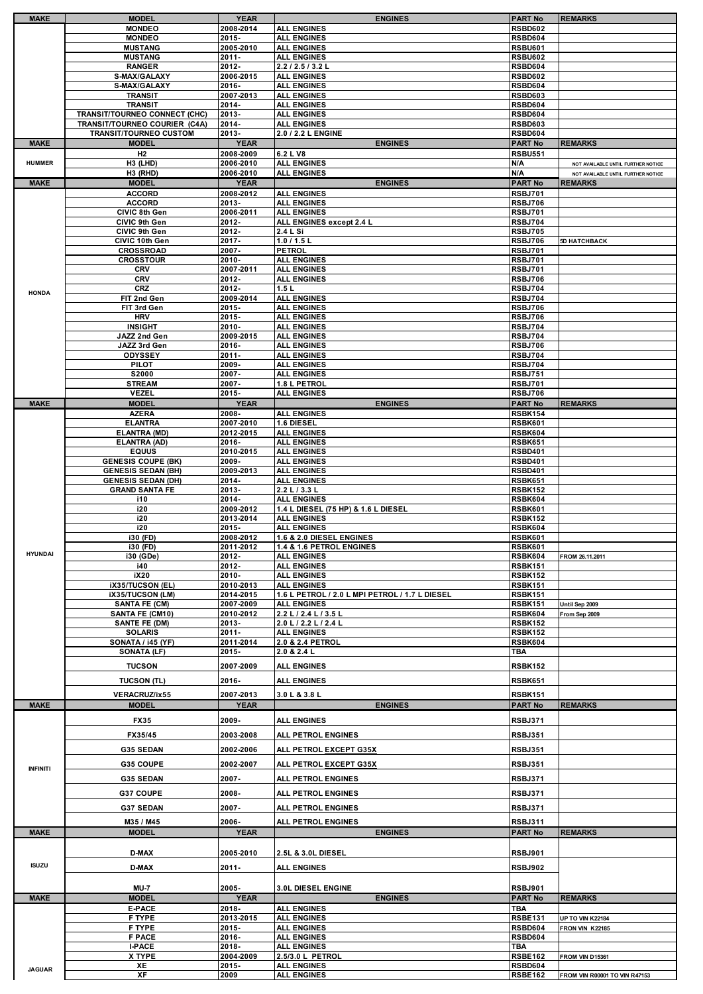| <b>MAKE</b>     | <b>MODEL</b>                              | <b>YEAR</b>        | <b>ENGINES</b>                                 | <b>PART No</b>                   | <b>REMARKS</b>                     |
|-----------------|-------------------------------------------|--------------------|------------------------------------------------|----------------------------------|------------------------------------|
|                 | <b>MONDEO</b>                             | 2008-2014          | <b>ALL ENGINES</b>                             | <b>RSBD602</b>                   |                                    |
|                 | <b>MONDEO</b>                             | 2015-              | <b>ALL ENGINES</b>                             | RSBD604                          |                                    |
|                 | <b>MUSTANG</b>                            | 2005-2010          | <b>ALL ENGINES</b>                             | <b>RSBU601</b>                   |                                    |
|                 | <b>MUSTANG</b>                            | $2011 -$           | <b>ALL ENGINES</b>                             | <b>RSBU602</b>                   |                                    |
|                 | <b>RANGER</b>                             | 2012-              | 2.2 / 2.5 / 3.2 L                              | RSBD604                          |                                    |
|                 | S-MAX/GALAXY                              | 2006-2015          | <b>ALL ENGINES</b>                             | <b>RSBD602</b>                   |                                    |
|                 | S-MAX/GALAXY                              | 2016-              | <b>ALL ENGINES</b>                             | <b>RSBD604</b>                   |                                    |
|                 | <b>TRANSIT</b>                            | 2007-2013          | <b>ALL ENGINES</b>                             | <b>RSBD603</b>                   |                                    |
|                 | <b>TRANSIT</b>                            | 2014-              | <b>ALL ENGINES</b>                             | <b>RSBD604</b>                   |                                    |
|                 | TRANSIT/TOURNEO CONNECT (CHC)             | 2013-              | <b>ALL ENGINES</b>                             | <b>RSBD604</b>                   |                                    |
|                 | TRANSIT/TOURNEO COURIER (C4A)             | 2014-              | <b>ALL ENGINES</b>                             | <b>RSBD603</b>                   |                                    |
|                 | TRANSIT/TOURNEO CUSTOM                    | 2013-              | 2.0 / 2.2 L ENGINE                             | <b>RSBD604</b>                   |                                    |
| <b>MAKE</b>     | <b>MODEL</b>                              | <b>YEAR</b>        | <b>ENGINES</b>                                 | <b>PART No</b>                   | <b>REMARKS</b>                     |
|                 | H <sub>2</sub>                            | 2008-2009          | 6.2 L V8                                       | <b>RSBU551</b>                   |                                    |
| <b>HUMMER</b>   | H3 (LHD)                                  | 2006-2010          | <b>ALL ENGINES</b>                             | N/A                              | NOT AVAILABLE UNTIL FURTHER NOTICE |
|                 | H3 (RHD)                                  | 2006-2010          | <b>ALL ENGINES</b>                             | N/A                              | NOT AVAILABLE UNTIL FURTHER NOTICE |
| <b>MAKE</b>     | <b>MODEL</b>                              | <b>YEAR</b>        | <b>ENGINES</b>                                 | <b>PART No</b>                   | <b>REMARKS</b>                     |
|                 | <b>ACCORD</b>                             | 2008-2012          | <b>ALL ENGINES</b>                             | <b>RSBJ701</b>                   |                                    |
|                 | <b>ACCORD</b><br>CIVIC 8th Gen            | 2013-<br>2006-2011 | <b>ALL ENGINES</b><br><b>ALL ENGINES</b>       | <b>RSBJ706</b><br><b>RSBJ701</b> |                                    |
|                 | CIVIC 9th Gen                             | 2012-              | ALL ENGINES except 2.4 L                       | <b>RSBJ704</b>                   |                                    |
|                 | CIVIC 9th Gen                             | 2012-              | 2.4 L Si                                       | <b>RSBJ705</b>                   |                                    |
|                 | CIVIC 10th Gen                            | 2017-              | 1.0 / 1.5 L                                    | <b>RSBJ706</b>                   | 5D HATCHBACK                       |
|                 | <b>CROSSROAD</b>                          | 2007-              | <b>PETROL</b>                                  | <b>RSBJ701</b>                   |                                    |
|                 | <b>CROSSTOUR</b>                          | 2010-              | <b>ALL ENGINES</b>                             | <b>RSBJ701</b>                   |                                    |
|                 | <b>CRV</b>                                | 2007-2011          | <b>ALL ENGINES</b>                             | <b>RSBJ701</b>                   |                                    |
|                 | <b>CRV</b>                                | 2012-              | <b>ALL ENGINES</b>                             | <b>RSBJ706</b>                   |                                    |
| <b>HONDA</b>    | <b>CRZ</b>                                | 2012-              | 1.5L                                           | <b>RSBJ704</b>                   |                                    |
|                 | FIT 2nd Gen                               | 2009-2014          | <b>ALL ENGINES</b>                             | <b>RSBJ704</b>                   |                                    |
|                 | FIT 3rd Gen                               | 2015-              | <b>ALL ENGINES</b>                             | <b>RSBJ706</b>                   |                                    |
|                 | <b>HRV</b>                                | 2015-              | <b>ALL ENGINES</b>                             | <b>RSBJ706</b>                   |                                    |
|                 | <b>INSIGHT</b>                            | 2010-              | <b>ALL ENGINES</b>                             | <b>RSBJ704</b>                   |                                    |
|                 | JAZZ 2nd Gen<br>JAZZ 3rd Gen              | 2009-2015<br>2016- | <b>ALL ENGINES</b><br><b>ALL ENGINES</b>       | <b>RSBJ704</b><br><b>RSBJ706</b> |                                    |
|                 | ODYSSEY                                   | 2011-              | <b>ALL ENGINES</b>                             | <b>RSBJ704</b>                   |                                    |
|                 | <b>PILOT</b>                              | 2009-              | <b>ALL ENGINES</b>                             | <b>RSBJ704</b>                   |                                    |
|                 | S2000                                     | 2007-              | <b>ALL ENGINES</b>                             | <b>RSBJ751</b>                   |                                    |
|                 | <b>STREAM</b>                             | 2007-              | 1.8 L PETROL                                   | <b>RSBJ701</b>                   |                                    |
|                 | <b>VEZEL</b>                              | 2015-              | <b>ALL ENGINES</b>                             | <b>RSBJ706</b>                   |                                    |
| <b>MAKE</b>     | <b>MODEL</b>                              | <b>YEAR</b>        | <b>ENGINES</b>                                 | <b>PART No</b>                   | <b>REMARKS</b>                     |
|                 | <b>AZERA</b>                              | 2008-              | <b>ALL ENGINES</b>                             | <b>RSBK154</b>                   |                                    |
|                 | <b>ELANTRA</b>                            | 2007-2010          | 1.6 DIESEL                                     | <b>RSBK601</b>                   |                                    |
|                 | <b>ELANTRA (MD)</b>                       | 2012-2015          | <b>ALL ENGINES</b>                             | <b>RSBK604</b>                   |                                    |
|                 | <b>ELANTRA (AD)</b>                       | 2016-              | <b>ALL ENGINES</b>                             | <b>RSBK651</b>                   |                                    |
|                 | <b>EQUUS</b><br><b>GENESIS COUPE (BK)</b> | 2010-2015<br>2009- | <b>ALL ENGINES</b><br><b>ALL ENGINES</b>       | <b>RSBD401</b><br><b>RSBD401</b> |                                    |
|                 | <b>GENESIS SEDAN (BH)</b>                 | 2009-2013          | <b>ALL ENGINES</b>                             | <b>RSBD401</b>                   |                                    |
|                 | <b>GENESIS SEDAN (DH)</b>                 | 2014-              | <b>ALL ENGINES</b>                             | <b>RSBK651</b>                   |                                    |
|                 | <b>GRAND SANTA FE</b>                     | 2013-              | 2.2 L / 3.3 L                                  | <b>RSBK152</b>                   |                                    |
|                 | i10                                       | 2014-              | <b>ALL ENGINES</b>                             | <b>RSBK604</b>                   |                                    |
|                 | i20                                       | 2009-2012          | 1.4 L DIESEL (75 HP) & 1.6 L DIESEL            | <b>RSBK601</b>                   |                                    |
|                 | i20                                       | 2013-2014          | <b>ALL ENGINES</b>                             | <b>RSBK152</b>                   |                                    |
|                 | i20<br>i30 (FD)                           | 2015-<br>2008-2012 | <b>ALL ENGINES</b><br>1.6 & 2.0 DIESEL ENGINES | RSBK604<br><b>RSBK601</b>        |                                    |
|                 | i30 (FD)                                  | 2011-2012          | <b>1.4 &amp; 1.6 PETROL ENGINES</b>            | RSBK601                          |                                    |
| HYUNDAI         | i30 (GDe)                                 | 2012-              | <b>ALL ENGINES</b>                             | <b>RSBK604</b>                   | FROM 26.11.2011                    |
|                 | i40                                       | 2012-              | <b>ALL ENGINES</b>                             | <b>RSBK151</b>                   |                                    |
|                 | iX20                                      | 2010-              | <b>ALL ENGINES</b>                             | <b>RSBK152</b>                   |                                    |
|                 | iX35/TUCSON (EL)                          | 2010-2013          | <b>ALL ENGINES</b>                             | <b>RSBK151</b>                   |                                    |
|                 | iX35/TUCSON (LM)                          | 2014-2015          | 1.6 L PETROL / 2.0 L MPI PETROL / 1.7 L DIESEL | <b>RSBK151</b>                   |                                    |
|                 | <b>SANTA FE (CM)</b>                      | 2007-2009          | <b>ALL ENGINES</b>                             | <b>RSBK151</b>                   | Until Sep 2009                     |
|                 | SANTA FE (CM10)                           | 2010-2012<br>2013- | 2.2 L / 2.4 L / 3.5 L<br>2.0 L / 2.2 L / 2.4 L | <b>RSBK604</b><br><b>RSBK152</b> | From Sep 2009                      |
|                 | <b>SANTE FE (DM)</b><br><b>SOLARIS</b>    | 2011-              | <b>ALL ENGINES</b>                             | <b>RSBK152</b>                   |                                    |
|                 | SONATA / i45 (YF)                         | 2011-2014          | 2.0 & 2.4 PETROL                               | <b>RSBK604</b>                   |                                    |
|                 | SONATA (LF)                               | 2015-              | 2.0 & 2.4 L                                    |                                  |                                    |
|                 |                                           |                    |                                                |                                  |                                    |
|                 |                                           |                    |                                                | TBA                              |                                    |
|                 | <b>TUCSON</b>                             | 2007-2009          | <b>ALL ENGINES</b>                             | <b>RSBK152</b>                   |                                    |
|                 | <b>TUCSON (TL)</b>                        | 2016-              | <b>ALL ENGINES</b>                             | <b>RSBK651</b>                   |                                    |
|                 | VERACRUZ/ix55                             | 2007-2013          | 3.0 L & 3.8 L                                  | <b>RSBK151</b>                   |                                    |
| <b>MAKE</b>     | <b>MODEL</b>                              | <b>YEAR</b>        | <b>ENGINES</b>                                 | <b>PART No</b>                   | <b>REMARKS</b>                     |
|                 |                                           |                    |                                                |                                  |                                    |
|                 | <b>FX35</b>                               | 2009-              | <b>ALL ENGINES</b>                             | <b>RSBJ371</b>                   |                                    |
|                 | FX35/45                                   | 2003-2008          | ALL PETROL ENGINES                             | <b>RSBJ351</b>                   |                                    |
|                 | <b>G35 SEDAN</b>                          | 2002-2006          | ALL PETROL EXCEPT G35X                         | <b>RSBJ351</b>                   |                                    |
|                 |                                           |                    |                                                |                                  |                                    |
| <b>INFINITI</b> | G35 COUPE                                 | 2002-2007          | ALL PETROL EXCEPT G35X                         | <b>RSBJ351</b>                   |                                    |
|                 | <b>G35 SEDAN</b>                          | 2007-              | <b>ALL PETROL ENGINES</b>                      | <b>RSBJ371</b>                   |                                    |
|                 | <b>G37 COUPE</b>                          | 2008-              | ALL PETROL ENGINES                             | RSBJ371                          |                                    |
|                 |                                           |                    |                                                |                                  |                                    |
|                 | <b>G37 SEDAN</b>                          | 2007-              | ALL PETROL ENGINES                             | <b>RSBJ371</b>                   |                                    |
|                 | M35 / M45                                 | 2006-              | ALL PETROL ENGINES                             | <b>RSBJ311</b>                   |                                    |
| <b>MAKE</b>     | <b>MODEL</b>                              | <b>YEAR</b>        | <b>ENGINES</b>                                 | <b>PART No</b>                   | <b>REMARKS</b>                     |
|                 |                                           |                    |                                                |                                  |                                    |
|                 | <b>D-MAX</b>                              | 2005-2010          | 2.5L & 3.0L DIESEL                             | <b>RSBJ901</b>                   |                                    |
| <b>ISUZU</b>    | <b>D-MAX</b>                              | 2011-              | <b>ALL ENGINES</b>                             | <b>RSBJ902</b>                   |                                    |
|                 |                                           |                    |                                                |                                  |                                    |
|                 | <b>MU-7</b>                               | 2005-              | 3.0L DIESEL ENGINE                             | <b>RSBJ901</b>                   |                                    |
| <b>MAKE</b>     | <b>MODEL</b>                              | <b>YEAR</b>        | <b>ENGINES</b>                                 | <b>PART No</b>                   | <b>REMARKS</b>                     |
|                 | <b>E-PACE</b>                             | 2018-              | <b>ALL ENGINES</b>                             | TBA                              |                                    |
|                 | F TYPE                                    | 2013-2015          | <b>ALL ENGINES</b>                             | <b>RSBE131</b>                   | UP TO VIN K22184                   |
|                 | F TYPE                                    | 2015-              | <b>ALL ENGINES</b>                             | <b>RSBD604</b>                   | FRON VIN K22185                    |
|                 | <b>F PACE</b>                             | 2016-              | <b>ALL ENGINES</b>                             | <b>RSBD604</b>                   |                                    |
|                 | <b>I-PACE</b>                             | 2018-              | <b>ALL ENGINES</b>                             | TBA                              |                                    |
| <b>JAGUAR</b>   | X TYPE<br>XE                              | 2004-2009<br>2015- | 2.5/3.0 L PETROL<br><b>ALL ENGINES</b>         | <b>RSBE162</b><br><b>RSBD604</b> | FROM VIN D15361                    |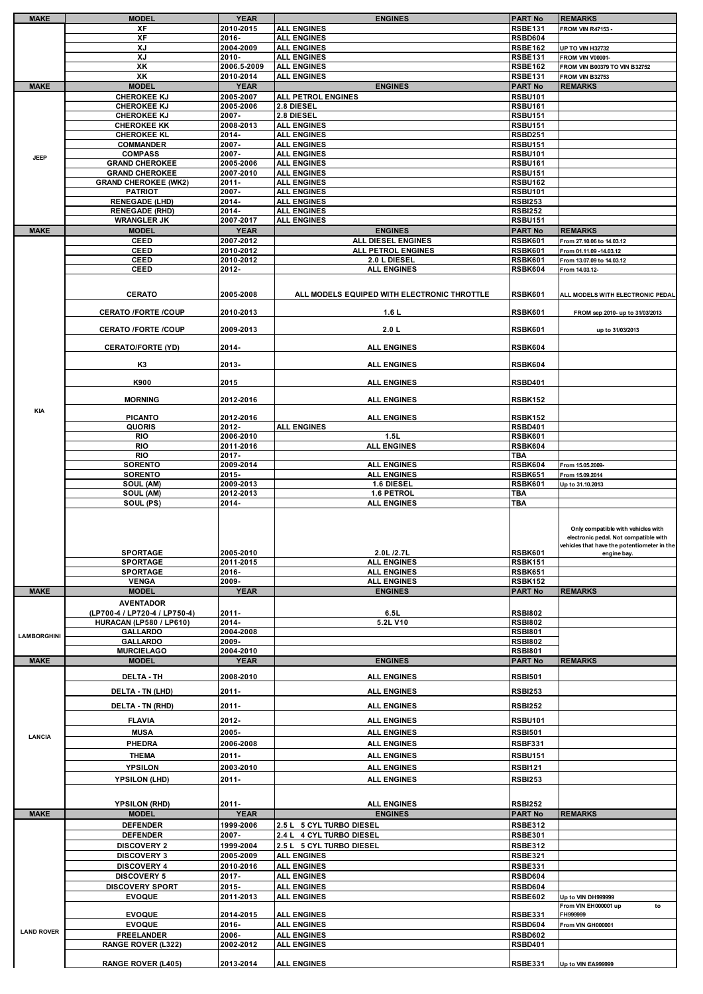| <b>MAKE</b>        | <b>MODEL</b>                                | <b>YEAR</b>              | <b>ENGINES</b>                                       | <b>PART No</b>                   | <b>REMARKS</b>                                   |
|--------------------|---------------------------------------------|--------------------------|------------------------------------------------------|----------------------------------|--------------------------------------------------|
|                    | ХF                                          | 2010-2015                | <b>ALL ENGINES</b>                                   | <b>RSBE131</b>                   | <b>FROM VIN R47153-</b>                          |
|                    | XF                                          | 2016-                    | <b>ALL ENGINES</b>                                   | <b>RSBD604</b>                   |                                                  |
|                    | XJ                                          | 2004-2009                | <b>ALL ENGINES</b>                                   | <b>RSBE162</b>                   | <b>UP TO VIN H32732</b>                          |
|                    | XJ                                          | 2010-                    | <b>ALL ENGINES</b>                                   | <b>RSBE131</b>                   | <b>FROM VIN V00001-</b>                          |
|                    | XK<br>XK                                    | 2006.5-2009<br>2010-2014 | <b>ALL ENGINES</b><br><b>ALL ENGINES</b>             | <b>RSBE162</b><br><b>RSBE131</b> | FROM VIN B00379 TO VIN B32752<br>FROM VIN B32753 |
| <b>MAKE</b>        | <b>MODEL</b>                                | <b>YEAR</b>              | <b>ENGINES</b>                                       | <b>PART No</b>                   | <b>REMARKS</b>                                   |
|                    | <b>CHEROKEE KJ</b>                          | 2005-2007                | ALL PETROL ENGINES                                   | <b>RSBU101</b>                   |                                                  |
|                    | <b>CHEROKEE KJ</b>                          | 2005-2006                | 2.8 DIESEL                                           | <b>RSBU161</b>                   |                                                  |
|                    | <b>CHEROKEE KJ</b>                          | 2007-                    | 2.8 DIESEL                                           | <b>RSBU151</b>                   |                                                  |
|                    | <b>CHEROKEE KK</b>                          | 2008-2013                | <b>ALL ENGINES</b>                                   | <b>RSBU151</b>                   |                                                  |
|                    | <b>CHEROKEE KL</b>                          | 2014-                    | <b>ALL ENGINES</b>                                   | <b>RSBD251</b>                   |                                                  |
|                    | <b>COMMANDER</b><br><b>COMPASS</b>          | 2007-<br>2007-           | <b>ALL ENGINES</b><br><b>ALL ENGINES</b>             | <b>RSBU151</b><br><b>RSBU101</b> |                                                  |
| <b>JEEP</b>        | <b>GRAND CHEROKEE</b>                       | 2005-2006                | <b>ALL ENGINES</b>                                   | <b>RSBU161</b>                   |                                                  |
|                    | <b>GRAND CHEROKEE</b>                       | 2007-2010                | <b>ALL ENGINES</b>                                   | <b>RSBU151</b>                   |                                                  |
|                    | <b>GRAND CHEROKEE (WK2)</b>                 | $2011 -$                 | <b>ALL ENGINES</b>                                   | <b>RSBU162</b>                   |                                                  |
|                    | <b>PATRIOT</b>                              | 2007-                    | <b>ALL ENGINES</b>                                   | <b>RSBU101</b>                   |                                                  |
|                    | <b>RENEGADE (LHD)</b>                       | 2014-                    | <b>ALL ENGINES</b>                                   | <b>RSBI253</b>                   |                                                  |
|                    | <b>RENEGADE (RHD)</b><br><b>WRANGLER JK</b> | 2014-<br>2007-2017       | <b>ALL ENGINES</b><br><b>ALL ENGINES</b>             | <b>RSBI252</b><br><b>RSBU151</b> |                                                  |
| <b>MAKE</b>        | <b>MODEL</b>                                | <b>YEAR</b>              | <b>ENGINES</b>                                       | <b>PART No</b>                   | <b>REMARKS</b>                                   |
|                    | <b>CEED</b>                                 | 2007-2012                | ALL DIESEL ENGINES                                   | <b>RSBK601</b>                   | From 27.10.06 to 14.03.12                        |
|                    | <b>CEED</b>                                 | 2010-2012                | ALL PETROL ENGINES                                   | <b>RSBK601</b>                   | From 01.11.09 - 14.03.12                         |
|                    | CEED                                        | 2010-2012                | 2.0 L DIESEL                                         | <b>RSBK601</b>                   | From 13.07.09 to 14.03.12                        |
|                    | <b>CEED</b>                                 | 2012-                    | <b>ALL ENGINES</b>                                   | <b>RSBK604</b>                   | From 14.03.12-                                   |
|                    |                                             |                          |                                                      |                                  |                                                  |
|                    | <b>CERATO</b>                               | 2005-2008                | ALL MODELS EQUIPED WITH ELECTRONIC THROTTLE          | <b>RSBK601</b>                   | ALL MODELS WITH ELECTRONIC PEDAL                 |
|                    |                                             |                          |                                                      |                                  |                                                  |
|                    | <b>CERATO /FORTE /COUP</b>                  | 2010-2013                | 1.6 L                                                | <b>RSBK601</b>                   | FROM sep 2010- up to 31/03/2013                  |
|                    | <b>CERATO /FORTE /COUP</b>                  | 2009-2013                | 2.0 L                                                | <b>RSBK601</b>                   | up to 31/03/2013                                 |
|                    |                                             |                          |                                                      |                                  |                                                  |
|                    | <b>CERATO/FORTE (YD)</b>                    | 2014-                    | <b>ALL ENGINES</b>                                   | <b>RSBK604</b>                   |                                                  |
|                    | K3                                          | 2013-                    | <b>ALL ENGINES</b>                                   | <b>RSBK604</b>                   |                                                  |
|                    |                                             |                          |                                                      |                                  |                                                  |
|                    | K900                                        | 2015                     | <b>ALL ENGINES</b>                                   | <b>RSBD401</b>                   |                                                  |
|                    |                                             |                          |                                                      |                                  |                                                  |
|                    | <b>MORNING</b>                              | 2012-2016                | <b>ALL ENGINES</b>                                   | <b>RSBK152</b>                   |                                                  |
| <b>KIA</b>         | <b>PICANTO</b>                              | 2012-2016                | <b>ALL ENGINES</b>                                   | <b>RSBK152</b>                   |                                                  |
|                    | <b>QUORIS</b>                               | 2012-                    | <b>ALL ENGINES</b>                                   | <b>RSBD401</b>                   |                                                  |
|                    | <b>RIO</b>                                  | 2006-2010                | 1.5L                                                 | <b>RSBK601</b>                   |                                                  |
|                    | <b>RIO</b>                                  | 2011-2016                | <b>ALL ENGINES</b>                                   | <b>RSBK604</b>                   |                                                  |
|                    | RIO<br><b>SORENTO</b>                       | 2017-<br>2009-2014       | <b>ALL ENGINES</b>                                   | TBA<br><b>RSBK604</b>            |                                                  |
|                    | <b>SORENTO</b>                              | 2015-                    | <b>ALL ENGINES</b>                                   | <b>RSBK651</b>                   | From 15.05.2009-<br>From 15.09.2014              |
|                    | SOUL (AM)                                   | 2009-2013                | 1.6 DIESEL                                           | <b>RSBK601</b>                   | Up to 31.10.2013                                 |
|                    | SOUL (AM)                                   | 2012-2013                | 1.6 PETROL                                           | TBA                              |                                                  |
|                    | SOUL (PS)                                   | 2014-                    | <b>ALL ENGINES</b>                                   | TBA                              |                                                  |
|                    |                                             |                          |                                                      |                                  |                                                  |
|                    |                                             |                          |                                                      |                                  | Only compatible with vehicles with               |
|                    |                                             |                          |                                                      |                                  | electronic pedal. Not compatible with            |
|                    |                                             |                          |                                                      |                                  | vehicles that have the potentiometer in the      |
|                    | <b>SPORTAGE</b><br><b>SPORTAGE</b>          | 2005-2010<br>2011-2015   | 2.0L /2.7L<br><b>ALL ENGINES</b>                     | <b>RSBK601</b><br><b>RSBK151</b> | engine bay.                                      |
|                    | <b>SPORTAGE</b>                             | 2016-                    | <b>ALL ENGINES</b>                                   | <b>RSBK651</b>                   |                                                  |
|                    | <b>VENGA</b>                                | 2009-                    | <b>ALL ENGINES</b>                                   | <b>RSBK152</b>                   |                                                  |
| <b>MAKE</b>        | <b>MODEL</b>                                | <b>YEAR</b>              | <b>ENGINES</b>                                       | <b>PART No</b>                   | <b>REMARKS</b>                                   |
|                    | <b>AVENTADOR</b>                            |                          |                                                      |                                  |                                                  |
|                    | (LP700-4 / LP720-4 / LP750-4)               | 2011-                    | 6.5L                                                 | <b>RSBI802</b>                   |                                                  |
|                    | HURACAN (LP580 / LP610)                     | 2014-                    | 5.2L V10                                             | <b>RSBI802</b>                   |                                                  |
| <b>LAMBORGHINI</b> | <b>GALLARDO</b>                             | 2004-2008                |                                                      | <b>RSBI801</b>                   |                                                  |
|                    | <b>GALLARDO</b><br><b>MURCIELAGO</b>        | 2009-<br>2004-2010       |                                                      | <b>RSBI802</b><br><b>RSBI801</b> |                                                  |
| <b>MAKE</b>        | <b>MODEL</b>                                | <b>YEAR</b>              | <b>ENGINES</b>                                       | <b>PART No</b>                   | <b>REMARKS</b>                                   |
|                    |                                             |                          |                                                      |                                  |                                                  |
|                    | <b>DELTA - TH</b>                           | 2008-2010                | <b>ALL ENGINES</b>                                   | <b>RSBI501</b>                   |                                                  |
|                    | DELTA - TN (LHD)                            | 2011-                    | <b>ALL ENGINES</b>                                   | <b>RSBI253</b>                   |                                                  |
|                    | <b>DELTA - TN (RHD)</b>                     | 2011-                    | <b>ALL ENGINES</b>                                   | <b>RSBI252</b>                   |                                                  |
|                    | <b>FLAVIA</b>                               | 2012-                    | <b>ALL ENGINES</b>                                   | <b>RSBU101</b>                   |                                                  |
|                    |                                             | 2005-                    |                                                      |                                  |                                                  |
| <b>LANCIA</b>      | <b>MUSA</b><br>PHEDRA                       | 2006-2008                | <b>ALL ENGINES</b><br><b>ALL ENGINES</b>             | <b>RSBI501</b><br><b>RSBF331</b> |                                                  |
|                    |                                             |                          |                                                      |                                  |                                                  |
|                    | <b>THEMA</b>                                | 2011-                    | <b>ALL ENGINES</b>                                   | <b>RSBU151</b>                   |                                                  |
|                    | <b>YPSILON</b>                              | 2003-2010                | <b>ALL ENGINES</b>                                   | <b>RSBI121</b>                   |                                                  |
|                    | <b>YPSILON (LHD)</b>                        | 2011-                    | <b>ALL ENGINES</b>                                   | <b>RSBI253</b>                   |                                                  |
|                    |                                             |                          |                                                      |                                  |                                                  |
|                    | <b>YPSILON (RHD)</b>                        | $2011 -$                 | <b>ALL ENGINES</b>                                   | <b>RSBI252</b>                   |                                                  |
| <b>MAKE</b>        | <b>MODEL</b>                                | <b>YEAR</b>              | <b>ENGINES</b>                                       | <b>PART No</b>                   | <b>REMARKS</b>                                   |
|                    | <b>DEFENDER</b>                             | 1999-2006<br>2007-       | 2.5 L 5 CYL TURBO DIESEL                             | <b>RSBE312</b>                   |                                                  |
|                    | <b>DEFENDER</b><br><b>DISCOVERY 2</b>       | 1999-2004                | 2.4 L 4 CYL TURBO DIESEL<br>2.5 L 5 CYL TURBO DIESEL | <b>RSBE301</b><br><b>RSBE312</b> |                                                  |
|                    | <b>DISCOVERY 3</b>                          | 2005-2009                | <b>ALL ENGINES</b>                                   | <b>RSBE321</b>                   |                                                  |
|                    | <b>DISCOVERY 4</b>                          | 2010-2016                | <b>ALL ENGINES</b>                                   | <b>RSBE331</b>                   |                                                  |
|                    | <b>DISCOVERY 5</b>                          | 2017-                    | <b>ALL ENGINES</b>                                   | <b>RSBD604</b>                   |                                                  |
|                    | <b>DISCOVERY SPORT</b>                      | 2015-                    | <b>ALL ENGINES</b>                                   | <b>RSBD604</b>                   |                                                  |
|                    | <b>EVOQUE</b>                               | 2011-2013                | <b>ALL ENGINES</b>                                   | <b>RSBE602</b>                   | Up to VIN DH999999                               |
|                    |                                             |                          |                                                      |                                  | From VIN EH000001 up<br>to                       |
|                    | <b>EVOQUE</b>                               | 2014-2015                | <b>ALL ENGINES</b>                                   | <b>RSBE331</b>                   | FH999999                                         |
| <b>LAND ROVER</b>  | <b>EVOQUE</b><br><b>FREELANDER</b>          | 2016-<br>2006-           | <b>ALL ENGINES</b><br><b>ALL ENGINES</b>             | <b>RSBD604</b><br><b>RSBD602</b> | From VIN GH000001                                |
|                    | <b>RANGE ROVER (L322)</b>                   | 2002-2012                | <b>ALL ENGINES</b>                                   | <b>RSBD401</b>                   |                                                  |
|                    |                                             |                          |                                                      |                                  |                                                  |
|                    | <b>RANGE ROVER (L405)</b>                   | 2013-2014                | <b>ALL ENGINES</b>                                   | <b>RSBE331</b>                   | Up to VIN EA999999                               |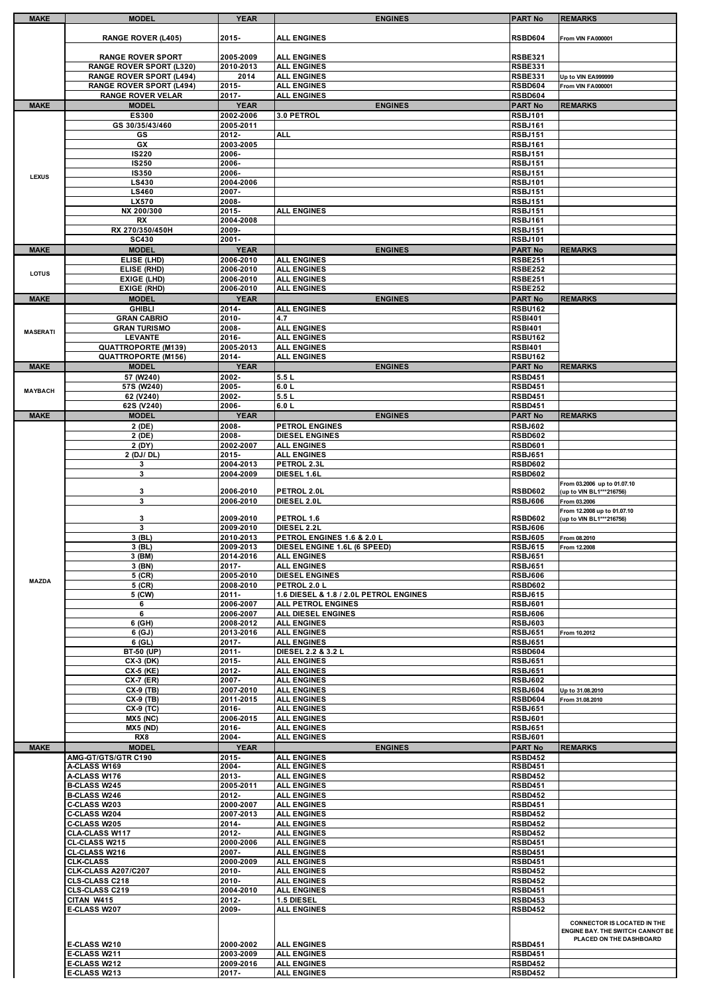|                 | <b>MODEL</b>                               | <b>YEAR</b>        | <b>ENGINES</b>                           | <b>PART No</b>                   | <b>REMARKS</b>                          |
|-----------------|--------------------------------------------|--------------------|------------------------------------------|----------------------------------|-----------------------------------------|
|                 |                                            |                    |                                          |                                  |                                         |
|                 | <b>RANGE ROVER (L405)</b>                  | 2015-              | <b>ALL ENGINES</b>                       | <b>RSBD604</b>                   | From VIN FA000001                       |
|                 |                                            |                    |                                          |                                  |                                         |
|                 | <b>RANGE ROVER SPORT</b>                   | 2005-2009          | <b>ALL ENGINES</b>                       | <b>RSBE321</b>                   |                                         |
|                 | <b>RANGE ROVER SPORT (L320)</b>            | 2010-2013          | <b>ALL ENGINES</b>                       | <b>RSBE331</b>                   |                                         |
|                 | <b>RANGE ROVER SPORT (L494)</b>            | 2014               | <b>ALL ENGINES</b>                       | <b>RSBE331</b>                   | Up to VIN EA999999                      |
|                 | <b>RANGE ROVER SPORT (L494)</b>            | 2015-              | <b>ALL ENGINES</b>                       | <b>RSBD604</b>                   | From VIN FA000001                       |
|                 | <b>RANGE ROVER VELAR</b>                   | 2017-              | <b>ALL ENGINES</b>                       | <b>RSBD604</b>                   |                                         |
| <b>MAKE</b>     | <b>MODEL</b>                               | <b>YEAR</b>        | <b>ENGINES</b>                           | <b>PART No</b>                   | <b>REMARKS</b>                          |
|                 | ES300                                      | 2002-2006          | 3.0 PETROL                               | <b>RSBJ101</b>                   |                                         |
|                 | GS 30/35/43/460                            | 2005-2011          |                                          | <b>RSBJ161</b>                   |                                         |
|                 | GS                                         | 2012-              | <b>ALL</b>                               | <b>RSBJ151</b>                   |                                         |
|                 | GX                                         | 2003-2005          |                                          | <b>RSBJ161</b>                   |                                         |
|                 | <b>IS220</b>                               | 2006-              |                                          | <b>RSBJ151</b>                   |                                         |
|                 | <b>IS250</b>                               | 2006-              |                                          | <b>RSBJ151</b>                   |                                         |
|                 | <b>IS350</b>                               | 2006-              |                                          | <b>RSBJ151</b>                   |                                         |
| <b>LEXUS</b>    | LS430                                      | 2004-2006          |                                          | <b>RSBJ101</b>                   |                                         |
|                 | <b>LS460</b>                               | 2007-              |                                          | <b>RSBJ151</b>                   |                                         |
|                 | LX570                                      | 2008-              |                                          | <b>RSBJ151</b>                   |                                         |
|                 | NX 200/300                                 | 2015-              | <b>ALL ENGINES</b>                       | <b>RSBJ151</b>                   |                                         |
|                 | RX                                         | 2004-2008          |                                          | <b>RSBJ161</b>                   |                                         |
|                 | RX 270/350/450H                            | 2009-              |                                          | <b>RSBJ151</b>                   |                                         |
|                 | <b>SC430</b>                               | 2001-              |                                          | <b>RSBJ101</b>                   |                                         |
|                 |                                            |                    |                                          |                                  |                                         |
| <b>MAKE</b>     | <b>MODEL</b>                               | <b>YEAR</b>        | <b>ENGINES</b>                           | <b>PART No</b>                   | <b>REMARKS</b>                          |
|                 | ELISE (LHD)                                | 2006-2010          | <b>ALL ENGINES</b>                       | <b>RSBE251</b>                   |                                         |
| <b>LOTUS</b>    | ELISE (RHD)                                | 2006-2010          | <b>ALL ENGINES</b>                       | <b>RSBE252</b>                   |                                         |
|                 | EXIGE (LHD)                                | 2006-2010          | <b>ALL ENGINES</b>                       | <b>RSBE251</b>                   |                                         |
|                 | <b>EXIGE (RHD)</b>                         | 2006-2010          | <b>ALL ENGINES</b>                       | <b>RSBE252</b>                   |                                         |
| <b>MAKE</b>     | <b>MODEL</b>                               | <b>YEAR</b>        | <b>ENGINES</b>                           | <b>PART No</b>                   | <b>REMARKS</b>                          |
|                 | <b>GHIBLI</b>                              | 2014-              | <b>ALL ENGINES</b>                       | <b>RSBU162</b>                   |                                         |
|                 | <b>GRAN CABRIO</b>                         | 2010-              | 4.7                                      | <b>RSBI401</b>                   |                                         |
| <b>MASERATI</b> | <b>GRAN TURISMO</b>                        | 2008-              | <b>ALL ENGINES</b>                       | <b>RSBI401</b>                   |                                         |
|                 | <b>LEVANTE</b>                             | 2016-              | <b>ALL ENGINES</b>                       | <b>RSBU162</b>                   |                                         |
|                 | <b>QUATTROPORTE (M139)</b>                 | 2005-2013          | <b>ALL ENGINES</b>                       | <b>RSBI401</b>                   |                                         |
|                 | <b>QUATTROPORTE (M156)</b>                 | 2014-              | <b>ALL ENGINES</b>                       | <b>RSBU162</b>                   |                                         |
| <b>MAKE</b>     | <b>MODEL</b>                               | <b>YEAR</b>        | <b>ENGINES</b>                           | <b>PART No</b>                   | <b>REMARKS</b>                          |
|                 | 57 (W240)                                  | 2002-              | 5.5L                                     | <b>RSBD451</b>                   |                                         |
| <b>MAYBACH</b>  | 57S (W240)                                 | 2005-              | 6.0 L                                    | <b>RSBD451</b>                   |                                         |
|                 | 62 (V240)                                  | 2002-              | 5.5L                                     | <b>RSBD451</b>                   |                                         |
|                 | 62S (V240)                                 | 2006-              | 6.0L                                     | <b>RSBD451</b>                   |                                         |
| <b>MAKE</b>     | <b>MODEL</b>                               | <b>YEAR</b>        | <b>ENGINES</b>                           | <b>PART No</b>                   | <b>REMARKS</b>                          |
|                 | 2 (DE)                                     | 2008-              | <b>PETROL ENGINES</b>                    | <b>RSBJ602</b>                   |                                         |
|                 | 2 (DE)                                     | 2008-              | <b>DIESEL ENGINES</b>                    | <b>RSBD602</b>                   |                                         |
|                 | 2 (DY)                                     | 2002-2007          | <b>ALL ENGINES</b>                       | <b>RSBD601</b>                   |                                         |
|                 | 2 (DJ/ DL)                                 | 2015-              | <b>ALL ENGINES</b>                       | <b>RSBJ651</b>                   |                                         |
|                 | 3                                          | 2004-2013          | PETROL 2.3L                              | <b>RSBD602</b>                   |                                         |
|                 | 3                                          | 2004-2009          | DIESEL 1.6L                              | <b>RSBD602</b>                   |                                         |
|                 |                                            |                    |                                          |                                  | From 03.2006 up to 01.07.10             |
|                 | 3                                          | 2006-2010          | PETROL 2.0L                              | <b>RSBD602</b>                   | (up to VIN BL1***216756)                |
|                 | 3                                          | 2006-2010          | DIESEL 2.0L                              | <b>RSBJ606</b>                   | From 03.2006                            |
|                 |                                            |                    |                                          |                                  | From 12.2008 up to 01.07.10             |
|                 | 3                                          | 2009-2010          | PETROL 1.6                               | <b>RSBD602</b>                   | (up to VIN BL1***216756)                |
|                 | 3                                          | 2009-2010          | DIESEL 2.2L                              | <b>RSBJ606</b>                   |                                         |
|                 | 3 (BL)                                     | 2010-2013          | PETROL ENGINES 1.6 & 2.0 L               | <b>RSBJ605</b>                   | From 08.2010                            |
|                 | 3 (BL)                                     | 2009-2013          | DIESEL ENGINE 1.6L (6 SPEED)             | <b>RSBJ615</b>                   | From 12.2008                            |
|                 | 3 (BM)                                     | 2014-2016          | <b>ALL ENGINES</b>                       | <b>RSBJ651</b>                   |                                         |
|                 | 3 (BN)                                     | $2017 -$           | <b>ALL ENGINES</b>                       | <b>RSBJ651</b>                   |                                         |
| <b>MAZDA</b>    | 5 (CR)                                     | 2005-2010          | <b>DIESEL ENGINES</b>                    | <b>RSBJ606</b>                   |                                         |
|                 | 5 (CR)                                     | 2008-2010          | PETROL 2.0 L                             | <b>RSBD602</b>                   |                                         |
|                 | 5 (CW)                                     | $2011 -$           | 1.6 DIESEL & 1.8 / 2.0L PETROL ENGINES   | <b>RSBJ615</b>                   |                                         |
|                 |                                            | 2006-2007          | ALL PETROL ENGINES                       | <b>RSBJ601</b>                   |                                         |
|                 | 6                                          |                    |                                          |                                  |                                         |
|                 | 6                                          | 2006-2007          | ALL DIESEL ENGINES                       | <b>RSBJ606</b>                   |                                         |
|                 | 6 (GH)                                     | 2008-2012          | <b>ALL ENGINES</b>                       | <b>RSBJ603</b>                   |                                         |
|                 | 6(GJ)                                      | 2013-2016          | <b>ALL ENGINES</b>                       | <b>RSBJ651</b>                   | From 10.2012                            |
|                 | 6 (GL)                                     | $2017 -$           | <b>ALL ENGINES</b>                       | <b>RSBJ651</b>                   |                                         |
|                 | BT-50 (UP)                                 | 2011-              | DIESEL 2.2 & 3.2 L                       | <b>RSBD604</b>                   |                                         |
|                 | CX-3 (DK)                                  | 2015-              | <b>ALL ENGINES</b>                       | <b>RSBJ651</b>                   |                                         |
|                 | CX-5 (KE)                                  | 2012-              | <b>ALL ENGINES</b>                       | <b>RSBJ651</b>                   |                                         |
|                 | <b>CX-7 (ER)</b>                           | 2007-              | <b>ALL ENGINES</b>                       | <b>RSBJ602</b>                   |                                         |
|                 | CX-9 (TB)                                  | 2007-2010          | <b>ALL ENGINES</b>                       | <b>RSBJ604</b>                   | Up to 31.08.2010                        |
|                 | CX-9 (TB)                                  | 2011-2015          | <b>ALL ENGINES</b>                       | <b>RSBD604</b>                   | From 31.08.2010                         |
|                 | CX-9 (TC)                                  | 2016-              | <b>ALL ENGINES</b>                       | <b>RSBJ651</b>                   |                                         |
|                 | <b>MX5 (NC)</b>                            | 2006-2015          | <b>ALL ENGINES</b>                       | <b>RSBJ601</b>                   |                                         |
|                 | <b>MX5 (ND)</b>                            | 2016-              | <b>ALL ENGINES</b>                       | <b>RSBJ651</b>                   |                                         |
|                 | RX8                                        | 2004-              | <b>ALL ENGINES</b>                       | <b>RSBJ601</b>                   |                                         |
| <b>MAKE</b>     | <b>MODEL</b>                               | <b>YEAR</b>        | <b>ENGINES</b>                           | <b>PART No</b>                   | <b>REMARKS</b>                          |
|                 | <b>AMG-GT/GTS/GTR C190</b>                 | 2015-              | <b>ALL ENGINES</b>                       | <b>RSBD452</b>                   |                                         |
|                 | A-CLASS W169                               | $2004 -$           | <b>ALL ENGINES</b>                       | <b>RSBD451</b>                   |                                         |
|                 | A-CLASS W176                               | 2013-              | <b>ALL ENGINES</b>                       | <b>RSBD452</b>                   |                                         |
|                 | <b>B-CLASS W245</b>                        | 2005-2011          | <b>ALL ENGINES</b>                       | <b>RSBD451</b>                   |                                         |
|                 | <b>B-CLASS W246</b>                        | 2012-              | <b>ALL ENGINES</b>                       | <b>RSBD452</b>                   |                                         |
|                 | <b>C-CLASS W203</b>                        | 2000-2007          | <b>ALL ENGINES</b>                       | <b>RSBD451</b>                   |                                         |
|                 | C-CLASS W204                               | 2007-2013          | <b>ALL ENGINES</b>                       | <b>RSBD452</b>                   |                                         |
|                 | C-CLASS W205                               | 2014-              | <b>ALL ENGINES</b>                       | <b>RSBD452</b>                   |                                         |
|                 | CLA-CLASS W117                             | 2012-              | <b>ALL ENGINES</b>                       | <b>RSBD452</b>                   |                                         |
|                 | <b>CL-CLASS W215</b>                       | 2000-2006          | <b>ALL ENGINES</b>                       | <b>RSBD451</b>                   |                                         |
|                 | CL-CLASS W216                              | 2007-              | <b>ALL ENGINES</b>                       | <b>RSBD451</b>                   |                                         |
|                 | <b>CLK-CLASS</b>                           | 2000-2009          | <b>ALL ENGINES</b>                       | <b>RSBD451</b>                   |                                         |
|                 | <b>CLK-CLASS A207/C207</b>                 | 2010-              | <b>ALL ENGINES</b>                       | <b>RSBD452</b>                   |                                         |
|                 | CLS-CLASS C218                             | 2010-              | <b>ALL ENGINES</b>                       | <b>RSBD452</b>                   |                                         |
|                 | CLS-CLASS C219                             | 2004-2010          | <b>ALL ENGINES</b>                       | <b>RSBD451</b>                   |                                         |
|                 | CITAN W415                                 | 2012-              | 1.5 DIESEL                               | <b>RSBD453</b>                   |                                         |
|                 | E-CLASS W207                               | 2009-              | <b>ALL ENGINES</b>                       | <b>RSBD452</b>                   |                                         |
|                 |                                            |                    |                                          |                                  | <b>CONNECTOR IS LOCATED IN THE</b>      |
|                 |                                            |                    |                                          |                                  |                                         |
|                 | E-CLASS W210                               | 2000-2002          | <b>ALL ENGINES</b>                       | <b>RSBD451</b>                   | PLACED ON THE DASHBOARD                 |
|                 | E-CLASS W211                               | 2003-2009          | <b>ALL ENGINES</b>                       | <b>RSBD451</b>                   |                                         |
|                 | <b>E-CLASS W212</b><br><b>E-CLASS W213</b> | 2009-2016<br>2017- | <b>ALL ENGINES</b><br><b>ALL ENGINES</b> | <b>RSBD452</b><br><b>RSBD452</b> | <b>ENGINE BAY. THE SWITCH CANNOT BE</b> |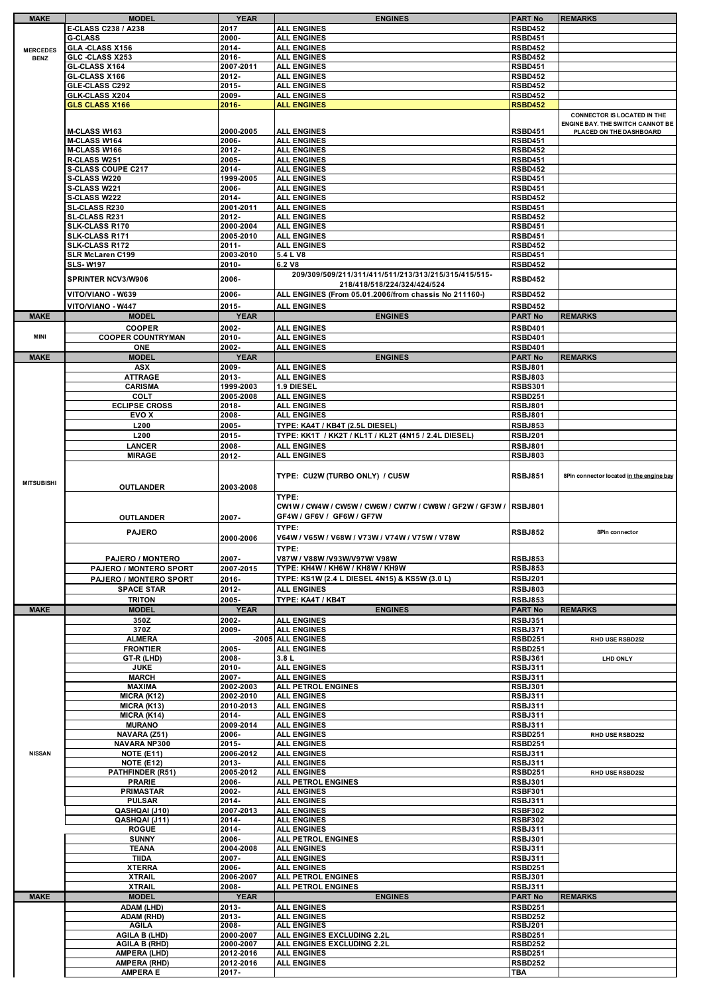| <b>MAKE</b>       | <b>MODEL</b>                           | <b>YEAR</b> | <b>ENGINES</b>                                                   | <b>PART No</b> | <b>REMARKS</b>                           |
|-------------------|----------------------------------------|-------------|------------------------------------------------------------------|----------------|------------------------------------------|
|                   | E-CLASS C238 / A238                    | 2017        | <b>ALL ENGINES</b>                                               | <b>RSBD452</b> |                                          |
|                   | <b>G-CLASS</b>                         | 2000-       | <b>ALL ENGINES</b>                                               | <b>RSBD451</b> |                                          |
| <b>MERCEDES</b>   | GLA -CLASS X156                        | 2014-       | <b>ALL ENGINES</b>                                               | <b>RSBD452</b> |                                          |
| <b>BENZ</b>       | GLC -CLASS X253                        | 2016-       | <b>ALL ENGINES</b>                                               | <b>RSBD452</b> |                                          |
|                   | GL-CLASS X164                          | 2007-2011   | <b>ALL ENGINES</b>                                               | <b>RSBD451</b> |                                          |
|                   |                                        | 2012-       | <b>ALL ENGINES</b>                                               | <b>RSBD452</b> |                                          |
|                   | <b>GL-CLASS X166</b><br>GLE-CLASS C292 |             |                                                                  |                |                                          |
|                   |                                        | 2015-       | <b>ALL ENGINES</b>                                               | <b>RSBD452</b> |                                          |
|                   | GLK-CLASS X204                         | 2009-       | <b>ALL ENGINES</b>                                               | <b>RSBD452</b> |                                          |
|                   | <b>GLS CLASS X166</b>                  | $2016 -$    | <b>ALL ENGINES</b>                                               | <b>RSBD452</b> |                                          |
|                   |                                        |             |                                                                  |                | <b>CONNECTOR IS LOCATED IN THE</b>       |
|                   |                                        |             |                                                                  |                | <b>ENGINE BAY. THE SWITCH CANNOT BE</b>  |
|                   | <b>M-CLASS W163</b>                    | 2000-2005   | <b>ALL ENGINES</b>                                               | <b>RSBD451</b> | PLACED ON THE DASHBOARD                  |
|                   | <b>M-CLASS W164</b>                    | 2006-       | <b>ALL ENGINES</b>                                               | <b>RSBD451</b> |                                          |
|                   | M-CLASS W166                           | 2012-       | <b>ALL ENGINES</b>                                               | <b>RSBD452</b> |                                          |
|                   | R-CLASS W251                           | 2005-       | <b>ALL ENGINES</b>                                               | <b>RSBD451</b> |                                          |
|                   | <b>S-CLASS COUPE C217</b>              | 2014-       | <b>ALL ENGINES</b>                                               | <b>RSBD452</b> |                                          |
|                   | <b>S-CLASS W220</b>                    | 1999-2005   | <b>ALL ENGINES</b>                                               | <b>RSBD451</b> |                                          |
|                   | S-CLASS W221                           | 2006-       | <b>ALL ENGINES</b>                                               | <b>RSBD451</b> |                                          |
|                   | S-CLASS W222                           | 2014-       | <b>ALL ENGINES</b>                                               | <b>RSBD452</b> |                                          |
|                   | <b>SL-CLASS R230</b>                   | 2001-2011   | <b>ALL ENGINES</b>                                               | <b>RSBD451</b> |                                          |
|                   | <b>SL-CLASS R231</b>                   | 2012-       | <b>ALL ENGINES</b>                                               | <b>RSBD452</b> |                                          |
|                   | SLK-CLASS R170                         | 2000-2004   | <b>ALL ENGINES</b>                                               | <b>RSBD451</b> |                                          |
|                   | SLK-CLASS R171                         | 2005-2010   | <b>ALL ENGINES</b>                                               | <b>RSBD451</b> |                                          |
|                   | SLK-CLASS R172                         | $2011 -$    | <b>ALL ENGINES</b>                                               | <b>RSBD452</b> |                                          |
|                   | SLR McLaren C199                       | 2003-2010   | 5.4 L V8                                                         | <b>RSBD451</b> |                                          |
|                   | <b>SLS-W197</b>                        | 2010-       | 6.2 V8                                                           | <b>RSBD452</b> |                                          |
|                   |                                        |             | 209/309/509/211/311/411/511/213/313/215/315/415/515-             |                |                                          |
|                   | SPRINTER NCV3/W906                     | 2006-       | 218/418/518/224/324/424/524                                      | <b>RSBD452</b> |                                          |
|                   | VITO/VIANO - W639                      | 2006-       | ALL ENGINES (From 05.01.2006/from chassis No 211160-)            | <b>RSBD452</b> |                                          |
|                   |                                        |             |                                                                  |                |                                          |
|                   | VITO/VIANO - W447                      | 2015-       | <b>ALL ENGINES</b>                                               | <b>RSBD452</b> |                                          |
| <b>MAKE</b>       | <b>MODEL</b>                           | <b>YEAR</b> | <b>ENGINES</b>                                                   | <b>PART No</b> | <b>REMARKS</b>                           |
|                   | <b>COOPER</b>                          | 2002-       | <b>ALL ENGINES</b>                                               | <b>RSBD401</b> |                                          |
| <b>MINI</b>       | <b>COOPER COUNTRYMAN</b>               | $2010 -$    | <b>ALL ENGINES</b>                                               | <b>RSBD401</b> |                                          |
|                   | ONE                                    | 2002-       | <b>ALL ENGINES</b>                                               | <b>RSBD401</b> |                                          |
| <b>MAKE</b>       | <b>MODEL</b>                           | <b>YEAR</b> | <b>ENGINES</b>                                                   | <b>PART No</b> | <b>REMARKS</b>                           |
|                   | <b>ASX</b>                             | 2009-       | <b>ALL ENGINES</b>                                               | <b>RSBJ801</b> |                                          |
|                   |                                        |             |                                                                  |                |                                          |
|                   | <b>ATTRAGE</b>                         | 2013-       | <b>ALL ENGINES</b>                                               | <b>RSBJ803</b> |                                          |
|                   | <b>CARISMA</b>                         | 1999-2003   | 1.9 DIESEL                                                       | <b>RSBS301</b> |                                          |
|                   | <b>COLT</b>                            | 2005-2008   | <b>ALL ENGINES</b>                                               | <b>RSBD251</b> |                                          |
|                   | <b>ECLIPSE CROSS</b>                   | 2018-       | <b>ALL ENGINES</b>                                               | <b>RSBJ801</b> |                                          |
|                   | <b>EVO X</b>                           | 2008-       | <b>ALL ENGINES</b>                                               | <b>RSBJ801</b> |                                          |
|                   | L <sub>200</sub>                       | 2005-       | TYPE: KA4T / KB4T (2.5L DIESEL)                                  | <b>RSBJ853</b> |                                          |
|                   | L200                                   | 2015-       | TYPE: KK1T / KK2T / KL1T / KL2T (4N15 / 2.4L DIESEL)             | <b>RSBJ201</b> |                                          |
|                   | <b>LANCER</b>                          | 2008-       | <b>ALL ENGINES</b>                                               | <b>RSBJ801</b> |                                          |
|                   | <b>MIRAGE</b>                          | 2012-       | <b>ALL ENGINES</b>                                               | <b>RSBJ803</b> |                                          |
|                   |                                        |             |                                                                  |                |                                          |
|                   |                                        |             |                                                                  |                |                                          |
| <b>MITSUBISHI</b> |                                        |             | TYPE: CU2W (TURBO ONLY) / CU5W                                   | <b>RSBJ851</b> | 8Pin connector located in the engine bay |
|                   | <b>OUTLANDER</b>                       | 2003-2008   |                                                                  |                |                                          |
|                   |                                        |             | TYPE:                                                            |                |                                          |
|                   |                                        |             | CW1W / CW4W / CW5W / CW6W / CW7W / CW8W / GF2W / GF3W / IRSBJ801 |                |                                          |
|                   | OUTLANDER                              | 2007-       | GF4W / GF6V / GF6W / GF7W                                        |                |                                          |
|                   |                                        |             | TYPE:                                                            |                |                                          |
|                   | <b>PAJERO</b>                          | 2000-2006   | V64W / V65W / V68W / V73W / V74W / V75W / V78W                   | <b>RSBJ852</b> | 8Pin connector                           |
|                   |                                        |             |                                                                  |                |                                          |
|                   |                                        |             | TYPE:                                                            |                |                                          |
|                   | <b>PAJERO / MONTERO</b>                | 2007-       | V87W / V88W /V93W/V97W/ V98W                                     | <b>RSBJ853</b> |                                          |
|                   | PAJERO / MONTERO SPORT                 | 2007-2015   | TYPE: KH4W / KH6W / KH8W / KH9W                                  | <b>RSBJ853</b> |                                          |
|                   | PAJERO / MONTERO SPORT                 | 2016-       | TYPE: KS1W (2.4 L DIESEL 4N15) & KS5W (3.0 L)                    | <b>RSBJ201</b> |                                          |
|                   | <b>SPACE STAR</b>                      | 2012-       | <b>ALL ENGINES</b>                                               | <b>RSBJ803</b> |                                          |
|                   | <b>TRITON</b>                          | 2005-       | TYPE: KA4T / KB4T                                                | <b>RSBJ853</b> |                                          |
| <b>MAKE</b>       | <b>MODEL</b>                           | <b>YEAR</b> | <b>ENGINES</b>                                                   | <b>PART No</b> | <b>REMARKS</b>                           |
|                   | 350Z                                   | 2002-       | <b>ALL ENGINES</b>                                               | <b>RSBJ351</b> |                                          |
|                   | 370Z                                   | 2009-       | <b>ALL ENGINES</b>                                               | <b>RSBJ371</b> |                                          |
|                   | <b>ALMERA</b>                          |             | -2005 ALL ENGINES                                                | <b>RSBD251</b> | RHD USE RSBD252                          |
|                   | <b>FRONTIER</b>                        | 2005-       | <b>ALL ENGINES</b>                                               | <b>RSBD251</b> |                                          |
|                   | GT-R (LHD)                             | 2008-       | 3.8L                                                             | <b>RSBJ361</b> | <b>LHD ONLY</b>                          |
|                   | <b>JUKE</b>                            | 2010-       | <b>ALL ENGINES</b>                                               | <b>RSBJ311</b> |                                          |
|                   | <b>MARCH</b>                           | 2007-       | <b>ALL ENGINES</b>                                               | <b>RSBJ311</b> |                                          |
|                   | <b>MAXIMA</b>                          | 2002-2003   | <b>ALL PETROL ENGINES</b>                                        | <b>RSBJ301</b> |                                          |
|                   |                                        |             |                                                                  |                |                                          |
|                   | MICRA (K12)                            | 2002-2010   | <b>ALL ENGINES</b>                                               | <b>RSBJ311</b> |                                          |
|                   | MICRA (K13)                            | 2010-2013   | <b>ALL ENGINES</b>                                               | <b>RSBJ311</b> |                                          |
|                   | MICRA (K14)                            | 2014-       | <b>ALL ENGINES</b>                                               | <b>RSBJ311</b> |                                          |
|                   | <b>MURANO</b>                          | 2009-2014   | <b>ALL ENGINES</b>                                               | <b>RSBJ311</b> |                                          |
|                   | NAVARA (Z51)                           | 2006-       | <b>ALL ENGINES</b>                                               | <b>RSBD251</b> | RHD USE RSBD252                          |
|                   | NAVARA NP300                           | 2015-       | <b>ALL ENGINES</b>                                               | <b>RSBD251</b> |                                          |
| <b>NISSAN</b>     | <b>NOTE (E11)</b>                      | 2006-2012   | <b>ALL ENGINES</b>                                               | <b>RSBJ311</b> |                                          |
|                   | <b>NOTE (E12)</b>                      | 2013-       | <b>ALL ENGINES</b>                                               | <b>RSBJ311</b> |                                          |
|                   | PATHFINDER (R51)                       | 2005-2012   | <b>ALL ENGINES</b>                                               | <b>RSBD251</b> | RHD USE RSBD252                          |
|                   | <b>PRARIE</b>                          | 2006-       | ALL PETROL ENGINES                                               | <b>RSBJ301</b> |                                          |
|                   | <b>PRIMASTAR</b>                       | 2002-       | <b>ALL ENGINES</b>                                               | <b>RSBF301</b> |                                          |
|                   | <b>PULSAR</b>                          | 2014-       | <b>ALL ENGINES</b>                                               | <b>RSBJ311</b> |                                          |
|                   | QASHQAI (J10)                          | 2007-2013   | <b>ALL ENGINES</b>                                               | <b>RSBF302</b> |                                          |
|                   | QASHQAI (J11)                          | 2014-       | <b>ALL ENGINES</b>                                               | <b>RSBF302</b> |                                          |
|                   | <b>ROGUE</b>                           | 2014-       | <b>ALL ENGINES</b>                                               | <b>RSBJ311</b> |                                          |
|                   | <b>SUNNY</b>                           | 2006-       | ALL PETROL ENGINES                                               | <b>RSBJ301</b> |                                          |
|                   | <b>TEANA</b>                           | 2004-2008   | <b>ALL ENGINES</b>                                               | <b>RSBJ311</b> |                                          |
|                   | <b>TIIDA</b>                           | 2007-       | <b>ALL ENGINES</b>                                               | <b>RSBJ311</b> |                                          |
|                   | <b>XTERRA</b>                          | 2006-       | <b>ALL ENGINES</b>                                               | <b>RSBD251</b> |                                          |
|                   | <b>XTRAIL</b>                          | 2006-2007   | ALL PETROL ENGINES                                               | <b>RSBJ301</b> |                                          |
|                   | <b>XTRAIL</b>                          | 2008-       | ALL PETROL ENGINES                                               | <b>RSBJ311</b> |                                          |
| <b>MAKE</b>       | <b>MODEL</b>                           | <b>YEAR</b> | <b>ENGINES</b>                                                   | <b>PART No</b> | <b>REMARKS</b>                           |
|                   | <b>ADAM (LHD)</b>                      | 2013-       | <b>ALL ENGINES</b>                                               | <b>RSBD251</b> |                                          |
|                   | <b>ADAM (RHD)</b>                      | 2013-       | <b>ALL ENGINES</b>                                               | <b>RSBD252</b> |                                          |
|                   | <b>AGILA</b>                           | $2008 -$    | <b>ALL ENGINES</b>                                               | <b>RSBJ201</b> |                                          |
|                   | <b>AGILA B (LHD)</b>                   | 2000-2007   | ALL ENGINES EXCLUDING 2.2L                                       | <b>RSBD251</b> |                                          |
|                   | <b>AGILA B (RHD)</b>                   | 2000-2007   | ALL ENGINES EXCLUDING 2.2L                                       | <b>RSBD252</b> |                                          |
|                   | <b>AMPERA (LHD)</b>                    | 2012-2016   | <b>ALL ENGINES</b>                                               | <b>RSBD251</b> |                                          |
|                   |                                        |             |                                                                  | <b>RSBD252</b> |                                          |
|                   | <b>AMPERA (RHD)</b>                    | 2012-2016   | <b>ALL ENGINES</b>                                               |                |                                          |
|                   | <b>AMPERA E</b>                        | 2017-       |                                                                  | <b>TBA</b>     |                                          |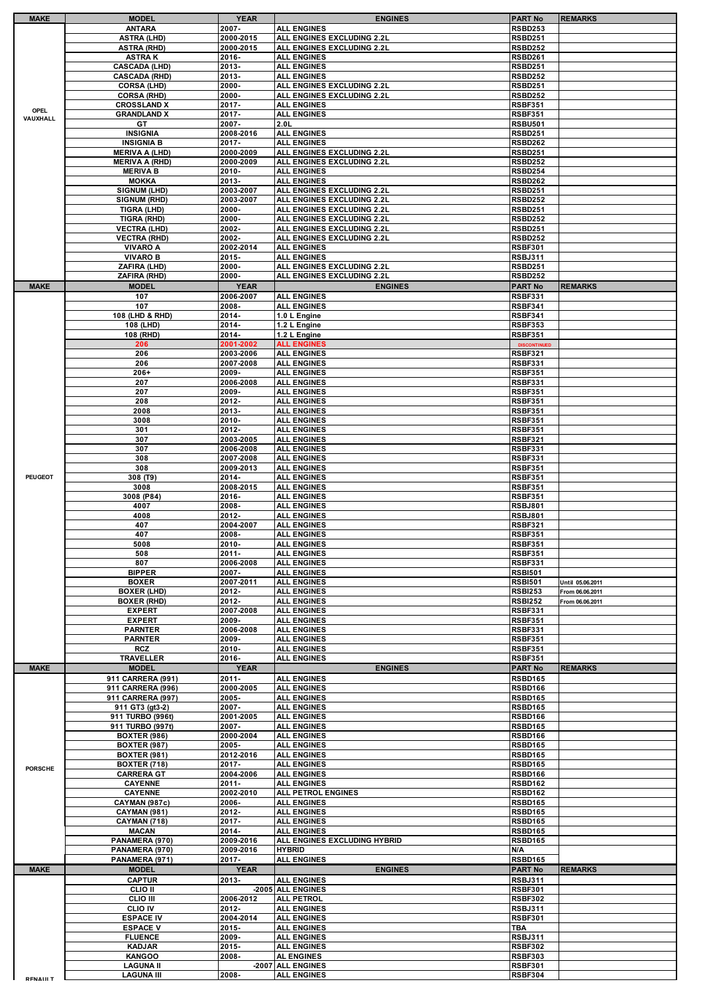|                 | <b>MODEL</b>                             | <b>YEAR</b>            | <b>ENGINES</b>                                           | <b>PART No</b>                        | <b>REMARKS</b>   |
|-----------------|------------------------------------------|------------------------|----------------------------------------------------------|---------------------------------------|------------------|
|                 | <b>ANTARA</b>                            | 2007-                  | <b>ALL ENGINES</b>                                       | <b>RSBD253</b>                        |                  |
|                 | <b>ASTRA (LHD)</b>                       | 2000-2015              | ALL ENGINES EXCLUDING 2.2L                               | <b>RSBD251</b>                        |                  |
|                 | <b>ASTRA (RHD)</b>                       | 2000-2015              | ALL ENGINES EXCLUDING 2.2L                               | $\overline{\text{R}}$ SBD252          |                  |
|                 | <b>ASTRAK</b>                            | 2016-                  | <b>ALL ENGINES</b>                                       | RSBD261                               |                  |
|                 | <b>CASCADA (LHD)</b>                     | 2013-                  | <b>ALL ENGINES</b>                                       | <b>RSBD251</b>                        |                  |
|                 | <b>CASCADA (RHD)</b>                     | 2013-<br>2000-         | <b>ALL ENGINES</b><br>ALL ENGINES EXCLUDING 2.2L         | <b>RSBD252</b><br><b>RSBD251</b>      |                  |
|                 | <b>CORSA (LHD)</b><br><b>CORSA (RHD)</b> | 2000-                  | ALL ENGINES EXCLUDING 2.2L                               | <b>RSBD252</b>                        |                  |
|                 | <b>CROSSLAND X</b>                       | 2017-                  | <b>ALL ENGINES</b>                                       | <b>RSBF351</b>                        |                  |
| OPEL            | <b>GRANDLAND X</b>                       | 2017-                  | <b>ALL ENGINES</b>                                       | <b>RSBF351</b>                        |                  |
| VAUXHALL        | GT                                       | 2007-                  | 2.0 <sub>L</sub>                                         | <b>RSBU501</b>                        |                  |
|                 | <b>INSIGNIA</b>                          | 2008-2016              | <b>ALL ENGINES</b>                                       | <b>RSBD251</b>                        |                  |
|                 | <b>INSIGNIA B</b>                        | 2017-                  | <b>ALL ENGINES</b>                                       | RSBD262                               |                  |
|                 | <b>MERIVA A (LHD)</b>                    | 2000-2009              | ALL ENGINES EXCLUDING 2.2L                               | <b>RSBD251</b>                        |                  |
|                 | <b>MERIVA A (RHD)</b>                    | 2000-2009              | ALL ENGINES EXCLUDING 2.2L                               | <b>RSBD252</b>                        |                  |
|                 | <b>MERIVA B</b>                          | 2010-                  | <b>ALL ENGINES</b>                                       | <b>RSBD254</b>                        |                  |
|                 | <b>MOKKA</b>                             | 2013-                  | <b>ALL ENGINES</b>                                       | <b>RSBD262</b>                        |                  |
|                 | <b>SIGNUM (LHD)</b>                      | 2003-2007              | ALL ENGINES EXCLUDING 2.2L                               | <b>RSBD251</b>                        |                  |
|                 | SIGNUM (RHD)                             | 2003-2007<br>2000-     | ALL ENGINES EXCLUDING 2.2L                               | <b>RSBD252</b>                        |                  |
|                 | <b>TIGRA (LHD)</b><br><b>TIGRA (RHD)</b> | 2000-                  | ALL ENGINES EXCLUDING 2.2L<br>ALL ENGINES EXCLUDING 2.2L | <b>RSBD251</b><br><b>RSBD252</b>      |                  |
|                 | <b>VECTRA (LHD)</b>                      | 2002-                  | ALL ENGINES EXCLUDING 2.2L                               | <b>RSBD251</b>                        |                  |
|                 | <b>VECTRA (RHD)</b>                      | 2002-                  | ALL ENGINES EXCLUDING 2.2L                               | <b>RSBD252</b>                        |                  |
|                 | <b>VIVARO A</b>                          | 2002-2014              | <b>ALL ENGINES</b>                                       | <b>RSBF301</b>                        |                  |
|                 | <b>VIVARO B</b>                          | 2015-                  | <b>ALL ENGINES</b>                                       | <b>RSBJ311</b>                        |                  |
|                 | ZAFIRA (LHD)                             | 2000-                  | ALL ENGINES EXCLUDING 2.2L                               | <b>RSBD251</b>                        |                  |
|                 | ZAFIRA (RHD)                             | 2000-                  | ALL ENGINES EXCLUDING 2.2L                               | <b>RSBD252</b>                        |                  |
| <b>MAKE</b>     | <b>MODEL</b>                             | <b>YEAR</b>            | <b>ENGINES</b>                                           | <b>PART No</b>                        | <b>REMARKS</b>   |
|                 | 107                                      | 2006-2007              | <b>ALL ENGINES</b>                                       | <b>RSBF331</b>                        |                  |
|                 | 107                                      | 2008-                  | <b>ALL ENGINES</b>                                       | <b>RSBF341</b>                        |                  |
|                 | 108 (LHD & RHD)                          | 2014-                  | 1.0 L Engine                                             | <b>RSBF341</b>                        |                  |
|                 | 108 (LHD)                                | 2014-                  | 1.2 L Engine                                             | <b>RSBF353</b>                        |                  |
|                 | 108 (RHD)<br>206                         | 2014-<br>2001-2002     | 1.2 L Engine<br><b>ALL ENGINES</b>                       | <b>RSBF351</b><br><b>DISCONTINUED</b> |                  |
|                 | 206                                      | 2003-2006              | <b>ALL ENGINES</b>                                       | <b>RSBF321</b>                        |                  |
|                 | 206                                      | 2007-2008              | <b>ALL ENGINES</b>                                       | <b>RSBF331</b>                        |                  |
|                 | $206+$                                   | 2009-                  | <b>ALL ENGINES</b>                                       | <b>RSBF351</b>                        |                  |
|                 | 207                                      | 2006-2008              | <b>ALL ENGINES</b>                                       | <b>RSBF331</b>                        |                  |
|                 | 207                                      | 2009-                  | <b>ALL ENGINES</b>                                       | <b>RSBF351</b>                        |                  |
|                 | 208                                      | 2012-                  | <b>ALL ENGINES</b>                                       | <b>RSBF351</b>                        |                  |
|                 | 2008<br>3008                             | 2013-<br>2010-         | <b>ALL ENGINES</b><br><b>ALL ENGINES</b>                 | <b>RSBF351</b><br><b>RSBF351</b>      |                  |
|                 | 301                                      | 2012-                  | <b>ALL ENGINES</b>                                       | <b>RSBF351</b>                        |                  |
|                 | 307                                      | 2003-2005              | <b>ALL ENGINES</b>                                       | <b>RSBF321</b>                        |                  |
|                 | 307                                      | 2006-2008              | <b>ALL ENGINES</b>                                       | <b>RSBF331</b>                        |                  |
|                 | 308                                      | 2007-2008              | <b>ALL ENGINES</b>                                       | <b>RSBF331</b>                        |                  |
|                 | 308                                      | 2009-2013              | <b>ALL ENGINES</b>                                       | <b>RSBF351</b>                        |                  |
| <b>PEUGEOT</b>  | 308 (T9)<br>3008                         | 2014-<br>2008-2015     | <b>ALL ENGINES</b><br><b>ALL ENGINES</b>                 | <b>RSBF351</b><br><b>RSBF351</b>      |                  |
|                 | 3008 (P84)                               | 2016-                  | <b>ALL ENGINES</b>                                       | <b>RSBF351</b>                        |                  |
|                 | 4007                                     | 2008-                  | <b>ALL ENGINES</b>                                       | <b>RSBJ801</b>                        |                  |
|                 | 4008                                     | 2012-                  | <b>ALL ENGINES</b>                                       | <b>RSBJ801</b>                        |                  |
|                 | 407                                      | 2004-2007              | <b>ALL ENGINES</b>                                       | <b>RSBF321</b>                        |                  |
|                 | 407                                      | 2008-<br>$2010 -$      | <b>ALL ENGINES</b>                                       | <b>RSBF351</b><br><b>RSBF351</b>      |                  |
|                 | 5008<br>508                              | $2011 -$               | <b>ALL ENGINES</b><br><b>ALL ENGINES</b>                 | <b>RSBF351</b>                        |                  |
|                 | 807                                      | 2006-2008              | <b>ALL ENGINES</b>                                       | <b>RSBF331</b>                        |                  |
|                 | <b>BIPPER</b>                            | 2007-                  | <b>ALL ENGINES</b>                                       | <b>RSBI501</b>                        |                  |
|                 |                                          |                        |                                                          |                                       |                  |
|                 | <b>BOXER</b>                             | 2007-2011              | <b>ALL ENGINES</b>                                       | <b>RSBI501</b>                        | Until 05.06.2011 |
|                 | <b>BOXER (LHD)</b>                       | 2012-                  | <b>ALL ENGINES</b>                                       | <b>RSBI253</b>                        | From 06.06.2011  |
|                 | <b>BOXER (RHD)</b>                       | 2012-                  | <b>ALL ENGINES</b>                                       | <b>RSBI252</b>                        | From 06.06.2011  |
|                 | <b>EXPERT</b>                            | 2007-2008              | <b>ALL ENGINES</b>                                       | <b>RSBF331</b>                        |                  |
|                 | <b>EXPERT</b>                            | 2009-                  | <b>ALL ENGINES</b>                                       | <b>RSBF351</b>                        |                  |
|                 | <b>PARNTER</b><br><b>PARNTER</b>         | 2006-2008<br>2009-     | <b>ALL ENGINES</b><br><b>ALL ENGINES</b>                 | <b>RSBF331</b><br><b>RSBF351</b>      |                  |
|                 | <b>RCZ</b>                               | 2010-                  | <b>ALL ENGINES</b>                                       | <b>RSBF351</b>                        |                  |
|                 | <b>TRAVELLER</b>                         | 2016-                  | <b>ALL ENGINES</b>                                       | <b>RSBF351</b>                        |                  |
| <b>MAKE</b>     | <b>MODEL</b>                             | <b>YEAR</b>            | <b>ENGINES</b>                                           | <b>PART No</b>                        | <b>REMARKS</b>   |
|                 | 911 CARRERA (991)                        | $2011 -$               | <b>ALL ENGINES</b>                                       | <b>RSBD165</b>                        |                  |
|                 | 911 CARRERA (996)                        | 2000-2005              | <b>ALL ENGINES</b>                                       | RSBD166                               |                  |
|                 | 911 CARRERA (997)                        | 2005-                  | <b>ALL ENGINES</b>                                       | <b>RSBD165</b>                        |                  |
|                 | 911 GT3 (gt3-2)<br>911 TURBO (996t)      | 2007-<br>2001-2005     | <b>ALL ENGINES</b><br><b>ALL ENGINES</b>                 | <b>RSBD165</b><br>RSBD166             |                  |
|                 | 911 TURBO (997t)                         | 2007-                  | <b>ALL ENGINES</b>                                       | <b>RSBD165</b>                        |                  |
|                 | <b>BOXTER (986)</b>                      | 2000-2004              | <b>ALL ENGINES</b>                                       | <b>RSBD166</b>                        |                  |
|                 | <b>BOXTER (987)</b>                      | 2005-                  | <b>ALL ENGINES</b>                                       | <b>RSBD165</b>                        |                  |
|                 | <b>BOXTER (981)</b>                      | 2012-2016              | <b>ALL ENGINES</b>                                       | RSBD165                               |                  |
| <b>PORSCHE</b>  | <b>BOXTER (718)</b>                      | 2017-                  | <b>ALL ENGINES</b>                                       | <b>RSBD165</b>                        |                  |
|                 | <b>CARRERA GT</b>                        | 2004-2006<br>$2011 -$  | <b>ALL ENGINES</b>                                       | RSBD166<br>RSBD162                    |                  |
|                 | <b>CAYENNE</b><br><b>CAYENNE</b>         | 2002-2010              | <b>ALL ENGINES</b><br><b>ALL PETROL ENGINES</b>          | <b>RSBD162</b>                        |                  |
|                 | CAYMAN (987c)                            | 2006-                  | <b>ALL ENGINES</b>                                       | <b>RSBD165</b>                        |                  |
|                 | <b>CAYMAN (981)</b>                      | 2012-                  | <b>ALL ENGINES</b>                                       | <b>RSBD165</b>                        |                  |
|                 | <b>CAYMAN (718)</b>                      | 2017-                  | <b>ALL ENGINES</b>                                       | <b>RSBD165</b>                        |                  |
|                 | <b>MACAN</b>                             | 2014-                  | <b>ALL ENGINES</b>                                       | <b>RSBD165</b>                        |                  |
|                 | PANAMERA (970)                           | 2009-2016<br>2009-2016 | ALL ENGINES EXCLUDING HYBRID<br><b>HYBRID</b>            | <b>RSBD165</b><br>N/A                 |                  |
|                 | PANAMERA (970)<br>PANAMERA (971)         | 2017-                  | <b>ALL ENGINES</b>                                       | <b>RSBD165</b>                        |                  |
| <b>MAKE</b>     | <b>MODEL</b>                             | <b>YEAR</b>            | <b>ENGINES</b>                                           | <b>PART No</b>                        | <b>REMARKS</b>   |
|                 | <b>CAPTUR</b>                            | 2013-                  | <b>ALL ENGINES</b>                                       | <b>RSBJ311</b>                        |                  |
|                 | <b>CLIO II</b>                           |                        | -2005 ALL ENGINES                                        | <b>RSBF301</b>                        |                  |
|                 | <b>CLIO III</b>                          | 2006-2012              | <b>ALL PETROL</b>                                        | <b>RSBF302</b>                        |                  |
|                 | <b>CLIO IV</b><br><b>ESPACE IV</b>       | 2012-<br>2004-2014     | <b>ALL ENGINES</b><br><b>ALL ENGINES</b>                 | <b>RSBJ311</b><br><b>RSBF301</b>      |                  |
|                 | <b>ESPACE V</b>                          | 2015-                  | <b>ALL ENGINES</b>                                       | TBA                                   |                  |
|                 | <b>FLUENCE</b>                           | 2009-                  | <b>ALL ENGINES</b>                                       | <b>RSBJ311</b>                        |                  |
|                 | <b>KADJAR</b>                            | 2015-                  | <b>ALL ENGINES</b>                                       | <b>RSBF302</b>                        |                  |
|                 | <b>KANGOO</b>                            | 2008-                  | <b>AL ENGINES</b>                                        | <b>RSBF303</b>                        |                  |
| <b>RENAILLT</b> | <b>LAGUNA II</b><br><b>LAGUNA III</b>    | 2008-                  | -2007 ALL ENGINES<br><b>ALL ENGINES</b>                  | <b>RSBF301</b><br><b>RSBF304</b>      |                  |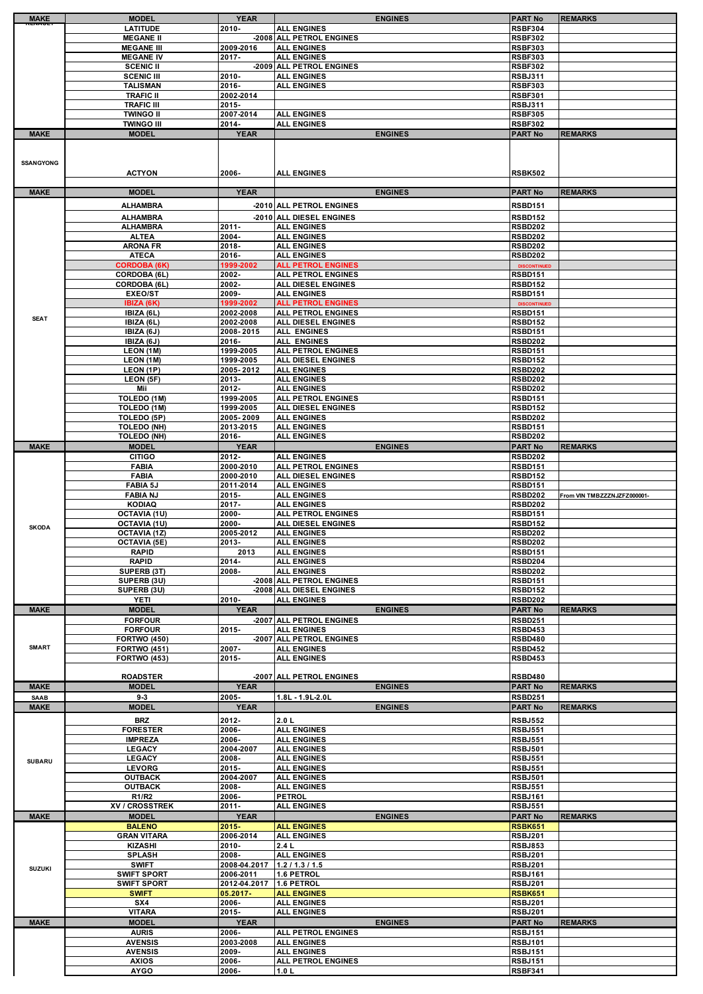| <b>MAKE</b>      | <b>MODEL</b>                     | <b>YEAR</b>             | <b>ENGINES</b>                           | <b>PART No</b>                   | <b>REMARKS</b>              |
|------------------|----------------------------------|-------------------------|------------------------------------------|----------------------------------|-----------------------------|
|                  | <b>LATITUDE</b>                  | $2010 -$                | <b>ALL ENGINES</b>                       | <b>RSBF304</b>                   |                             |
|                  | <b>MEGANE II</b>                 |                         | -2008 ALL PETROL ENGINES                 | <b>RSBF302</b>                   |                             |
|                  | <b>MEGANE III</b>                | 2009-2016               | <b>ALL ENGINES</b>                       | <b>RSBF303</b>                   |                             |
|                  | <b>MEGANE IV</b>                 | 2017-                   | <b>ALL ENGINES</b>                       | <b>RSBF303</b>                   |                             |
|                  | <b>SCENIC II</b>                 |                         | -2009 ALL PETROL ENGINES                 | <b>RSBF302</b>                   |                             |
|                  | <b>SCENIC III</b>                | 2010-                   | <b>ALL ENGINES</b>                       | <b>RSBJ311</b>                   |                             |
|                  | <b>TALISMAN</b>                  | 2016-                   | <b>ALL ENGINES</b>                       | <b>RSBF303</b>                   |                             |
|                  | <b>TRAFIC II</b>                 | 2002-2014               |                                          | <b>RSBF301</b>                   |                             |
|                  | <b>TRAFIC III</b>                | 2015-                   |                                          | <b>RSBJ311</b>                   |                             |
|                  | <b>TWINGO II</b>                 | 2007-2014               | <b>ALL ENGINES</b>                       | <b>RSBF305</b>                   |                             |
|                  | <b>TWINGO III</b>                | 2014-                   | <b>ALL ENGINES</b>                       | <b>RSBF302</b>                   |                             |
| <b>MAKE</b>      | <b>MODEL</b>                     | <b>YEAR</b>             | <b>ENGINES</b>                           | <b>PART No</b>                   | <b>REMARKS</b>              |
|                  |                                  |                         |                                          |                                  |                             |
|                  |                                  |                         |                                          |                                  |                             |
| <b>SSANGYONG</b> |                                  |                         |                                          |                                  |                             |
|                  | <b>ACTYON</b>                    | 2006-                   | <b>ALL ENGINES</b>                       | <b>RSBK502</b>                   |                             |
|                  |                                  |                         |                                          |                                  |                             |
| <b>MAKE</b>      | <b>MODEL</b>                     | <b>YEAR</b>             | <b>ENGINES</b>                           | <b>PART No</b>                   | <b>REMARKS</b>              |
|                  | <b>ALHAMBRA</b>                  |                         | -2010 ALL PETROL ENGINES                 | <b>RSBD151</b>                   |                             |
|                  |                                  |                         |                                          |                                  |                             |
|                  | <b>ALHAMBRA</b>                  |                         | -2010 ALL DIESEL ENGINES                 | <b>RSBD152</b>                   |                             |
|                  | <b>ALHAMBRA</b><br><b>ALTEA</b>  | 2011-<br>2004-          | <b>ALL ENGINES</b><br><b>ALL ENGINES</b> | <b>RSBD202</b><br><b>RSBD202</b> |                             |
|                  | <b>ARONA FR</b>                  | 2018-                   | <b>ALL ENGINES</b>                       | <b>RSBD202</b>                   |                             |
|                  | <b>ATECA</b>                     | 2016-                   | <b>ALL ENGINES</b>                       | <b>RSBD202</b>                   |                             |
|                  | <b>CORDOBA (6K)</b>              | 1999-2002               | <b>ALL PETROL ENGINES</b>                | <b>DISCONTINUED</b>              |                             |
|                  | CORDOBA (6L)                     | 2002-                   | ALL PETROL ENGINES                       | <b>RSBD151</b>                   |                             |
|                  | CORDOBA (6L)                     | 2002-                   | ALL DIESEL ENGINES                       | <b>RSBD152</b>                   |                             |
|                  | <b>EXEO/ST</b>                   | 2009-                   | <b>ALL ENGINES</b>                       | <b>RSBD151</b>                   |                             |
|                  | IBIZA (6K)                       | 1999-2002               | <b>ALL PETROL ENGINES</b>                | <b>DISCONTINUED</b>              |                             |
|                  | IBIZA (6L)                       | 2002-2008               | <b>ALL PETROL ENGINES</b>                | <b>RSBD151</b>                   |                             |
| <b>SEAT</b>      | IBIZA (6L)                       | 2002-2008               | <b>ALL DIESEL ENGINES</b>                | <b>RSBD152</b>                   |                             |
|                  | IBIZA (6J)                       | 2008-2015               | ALL ENGINES                              | <b>RSBD151</b>                   |                             |
|                  | IBIZA (6J)                       | 2016-                   | ALL ENGINES                              | <b>RSBD202</b>                   |                             |
|                  | LEON (1M)                        | 1999-2005               | ALL PETROL ENGINES                       | <b>RSBD151</b>                   |                             |
|                  | LEON (1M)                        | 1999-2005               | <b>ALL DIESEL ENGINES</b>                | <b>RSBD152</b>                   |                             |
|                  | LEON (1P)                        | 2005-2012               | <b>ALL ENGINES</b>                       | <b>RSBD202</b>                   |                             |
|                  | LEON (5F)                        | 2013-                   | <b>ALL ENGINES</b>                       | <b>RSBD202</b>                   |                             |
|                  | Mii                              | 2012-                   | <b>ALL ENGINES</b>                       | <b>RSBD202</b>                   |                             |
|                  | TOLEDO (1M)                      | 1999-2005               | <b>ALL PETROL ENGINES</b>                | <b>RSBD151</b>                   |                             |
|                  | TOLEDO (1M)                      | 1999-2005               | ALL DIESEL ENGINES                       | <b>RSBD152</b>                   |                             |
|                  | TOLEDO (5P)                      | 2005-2009               | <b>ALL ENGINES</b>                       | <b>RSBD202</b>                   |                             |
|                  | <b>TOLEDO (NH)</b>               | 2013-2015               | <b>ALL ENGINES</b>                       | <b>RSBD151</b>                   |                             |
|                  | <b>TOLEDO (NH)</b>               | 2016-                   | <b>ALL ENGINES</b>                       | <b>RSBD202</b>                   |                             |
| <b>MAKE</b>      | <b>MODEL</b>                     | <b>YEAR</b>             | <b>ENGINES</b>                           | <b>PART No</b>                   | <b>REMARKS</b>              |
|                  | <b>CITIGO</b>                    | 2012-                   | <b>ALL ENGINES</b>                       | <b>RSBD202</b>                   |                             |
|                  | <b>FABIA</b>                     | 2000-2010               | <b>ALL PETROL ENGINES</b>                | <b>RSBD151</b>                   |                             |
|                  | <b>FABIA</b>                     | 2000-2010               | <b>ALL DIESEL ENGINES</b>                | <b>RSBD152</b>                   |                             |
|                  | <b>FABIA 5J</b>                  | 2011-2014               | <b>ALL ENGINES</b>                       | <b>RSBD151</b>                   |                             |
|                  | <b>FABIA NJ</b><br><b>KODIAQ</b> | 2015-                   | <b>ALL ENGINES</b>                       | <b>RSBD202</b>                   | From VIN TMBZZZNJZFZ000001- |
|                  |                                  | 2017-                   | <b>ALL ENGINES</b>                       | <b>RSBD202</b>                   |                             |
|                  | OCTAVIA (1U)<br>OCTAVIA (1U)     | 2000-<br>2000-          | ALL PETROL ENGINES<br>ALL DIESEL ENGINES | <b>RSBD151</b><br><b>RSBD152</b> |                             |
| <b>SKODA</b>     | <b>OCTAVIA (1Z)</b>              | 2005-2012               | <b>ALL ENGINES</b>                       | <b>RSBD202</b>                   |                             |
|                  | <b>OCTAVIA (5E)</b>              | 2013-                   | <b>ALL ENGINES</b>                       | <b>RSBD202</b>                   |                             |
|                  | <b>RAPID</b>                     | 2013                    | <b>ALL ENGINES</b>                       | <b>RSBD151</b>                   |                             |
|                  | <b>RAPID</b>                     | 2014-                   | <b>ALL ENGINES</b>                       | RSBD204                          |                             |
|                  | SUPERB (3T)                      | 2008-                   | <b>ALL ENGINES</b>                       | <b>RSBD202</b>                   |                             |
|                  | SUPERB (3U)                      |                         | -2008 ALL PETROL ENGINES                 | <b>RSBD151</b>                   |                             |
|                  | SUPERB (3U)                      |                         | -2008 ALL DIESEL ENGINES                 | <b>RSBD152</b>                   |                             |
|                  | <b>YETI</b>                      | $2010 -$                | <b>ALL ENGINES</b>                       | <b>RSBD202</b>                   |                             |
| <b>MAKE</b>      | <b>MODEL</b>                     | <b>YEAR</b>             | <b>ENGINES</b>                           | <b>PART No</b>                   | <b>REMARKS</b>              |
|                  | <b>FORFOUR</b>                   |                         | -2007 ALL PETROL ENGINES                 | <b>RSBD251</b>                   |                             |
|                  | <b>FORFOUR</b>                   | 2015-                   | <b>ALL ENGINES</b>                       | <b>RSBD453</b>                   |                             |
|                  | <b>FORTWO (450)</b>              |                         | -2007 ALL PETROL ENGINES                 | <b>RSBD480</b>                   |                             |
| <b>SMART</b>     | <b>FORTWO (451)</b>              | 2007-                   | <b>ALL ENGINES</b>                       | <b>RSBD452</b>                   |                             |
|                  | <b>FORTWO (453)</b>              | 2015-                   | <b>ALL ENGINES</b>                       | <b>RSBD453</b>                   |                             |
|                  |                                  |                         |                                          |                                  |                             |
| <b>MAKE</b>      |                                  |                         |                                          |                                  |                             |
|                  | <b>ROADSTER</b>                  |                         | -2007 ALL PETROL ENGINES                 | <b>RSBD480</b>                   |                             |
|                  | <b>MODEL</b>                     | <b>YEAR</b>             | <b>ENGINES</b>                           | <b>PART No</b>                   | <b>REMARKS</b>              |
| <b>SAAB</b>      | $9 - 3$                          | 2005-                   | 1.8L - 1.9L-2.0L                         | <b>RSBD251</b>                   |                             |
| <b>MAKE</b>      | <b>MODEL</b>                     | <b>YEAR</b>             | <b>ENGINES</b>                           | <b>PART No</b>                   | <b>REMARKS</b>              |
|                  | <b>BRZ</b>                       | 2012-                   | 2.0 L                                    | <b>RSBJ552</b>                   |                             |
|                  | <b>FORESTER</b>                  | 2006-                   | <b>ALL ENGINES</b>                       | <b>RSBJ551</b>                   |                             |
|                  | <b>IMPREZA</b>                   | 2006-                   | <b>ALL ENGINES</b>                       | <b>RSBJ551</b>                   |                             |
|                  | <b>LEGACY</b>                    | 2004-2007               | <b>ALL ENGINES</b>                       | <b>RSBJ501</b>                   |                             |
| <b>SUBARU</b>    | <b>LEGACY</b>                    | 2008-                   | <b>ALL ENGINES</b>                       | <b>RSBJ551</b>                   |                             |
|                  | <b>LEVORG</b>                    | 2015-                   | <b>ALL ENGINES</b>                       | <b>RSBJ551</b>                   |                             |
|                  | <b>OUTBACK</b>                   | 2004-2007               | <b>ALL ENGINES</b>                       | <b>RSBJ501</b>                   |                             |
|                  | <b>OUTBACK</b>                   | 2008-                   | <b>ALL ENGINES</b>                       | <b>RSBJ551</b>                   |                             |
|                  | R1/R2<br>XV / CROSSTREK          | 2006-<br>$2011 -$       | <b>PETROL</b><br><b>ALL ENGINES</b>      | <b>RSBJ161</b><br><b>RSBJ551</b> |                             |
| <b>MAKE</b>      | <b>MODEL</b>                     | <b>YEAR</b>             | <b>ENGINES</b>                           | <b>PART No</b>                   | <b>REMARKS</b>              |
|                  | <b>BALENO</b>                    | $2015 -$                | <b>ALL ENGINES</b>                       | <b>RSBK651</b>                   |                             |
|                  | <b>GRAN VITARA</b>               | 2006-2014               | <b>ALL ENGINES</b>                       | <b>RSBJ201</b>                   |                             |
|                  | <b>KIZASHI</b>                   | 2010-                   | 2.4L                                     | <b>RSBJ853</b>                   |                             |
|                  | <b>SPLASH</b>                    | 2008-                   | <b>ALL ENGINES</b>                       | <b>RSBJ201</b>                   |                             |
|                  | <b>SWIFT</b>                     | 2008-04.2017            | 1.2 / 1.3 / 1.5                          | <b>RSBJ201</b>                   |                             |
| <b>SUZUKI</b>    | <b>SWIFT SPORT</b>               | 2006-2011               | 1.6 PETROL                               | <b>RSBJ161</b>                   |                             |
|                  | <b>SWIFT SPORT</b>               | 2012-04.2017 1.6 PETROL |                                          | <b>RSBJ201</b>                   |                             |
|                  | <b>SWIFT</b>                     | 05.2017-                | <b>ALL ENGINES</b>                       | <b>RSBK651</b>                   |                             |
|                  | SX4                              | 2006-                   | <b>ALL ENGINES</b>                       | <b>RSBJ201</b>                   |                             |
|                  | <b>VITARA</b>                    | 2015-                   | <b>ALL ENGINES</b>                       | <b>RSBJ201</b>                   |                             |
| <b>MAKE</b>      | <b>MODEL</b>                     | <b>YEAR</b>             | <b>ENGINES</b>                           | <b>PART No</b>                   | <b>REMARKS</b>              |
|                  | <b>AURIS</b>                     | 2006-                   | <b>ALL PETROL ENGINES</b>                | <b>RSBJ151</b>                   |                             |
|                  | <b>AVENSIS</b>                   | 2003-2008               | <b>ALL ENGINES</b>                       | <b>RSBJ101</b>                   |                             |
|                  | <b>AVENSIS</b>                   | 2009-                   | <b>ALL ENGINES</b>                       | <b>RSBJ151</b>                   |                             |
|                  | <b>AXIOS</b><br><b>AYGO</b>      | 2006-<br>2006-          | ALL PETROL ENGINES<br>1.0 L              | <b>RSBJ151</b><br>RSBF341        |                             |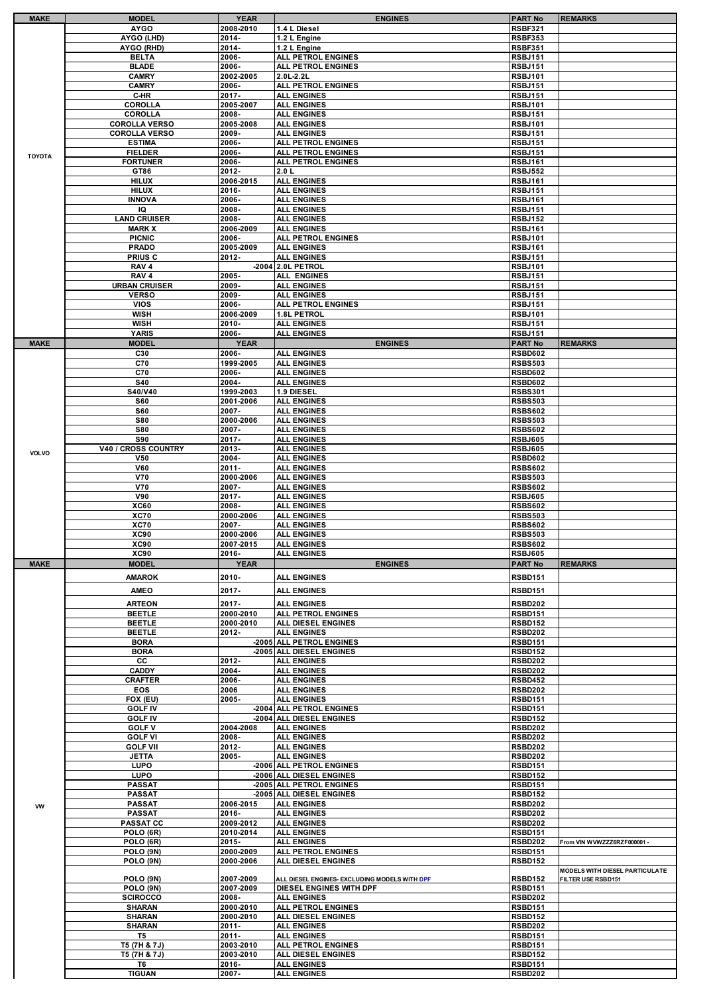|               | <b>MODEL</b>         | YEAR               | <b>ENGINES</b>                                | <b>PART No</b>                   | <b>REMARKS</b>                 |
|---------------|----------------------|--------------------|-----------------------------------------------|----------------------------------|--------------------------------|
|               | <b>AYGO</b>          | 2008-2010          | 1.4 L Diesel                                  | <b>RSBF321</b>                   |                                |
|               | AYGO (LHD)           | 2014-              | 1.2 L Engine                                  | <b>RSBF353</b>                   |                                |
|               | AYGO (RHD)           | 2014-              | 1.2 L Engine                                  | <b>RSBF351</b>                   |                                |
|               |                      |                    |                                               |                                  |                                |
|               | <b>BELTA</b>         | 2006-              | <b>ALL PETROL ENGINES</b>                     | <b>RSBJ151</b>                   |                                |
|               | <b>BLADE</b>         | 2006-              | ALL PETROL ENGINES                            | <b>RSBJ151</b>                   |                                |
|               | <b>CAMRY</b>         | 2002-2005          | 2.0L-2.2L                                     | <b>RSBJ101</b>                   |                                |
|               | <b>CAMRY</b>         | 2006-              | <b>ALL PETROL ENGINES</b>                     | <b>RSBJ151</b>                   |                                |
|               | C-HR                 | 2017-              | <b>ALL ENGINES</b>                            | <b>RSBJ151</b>                   |                                |
|               | <b>COROLLA</b>       | 2005-2007          | <b>ALL ENGINES</b>                            | <b>RSBJ101</b>                   |                                |
|               |                      |                    |                                               |                                  |                                |
|               | <b>COROLLA</b>       | 2008-              | <b>ALL ENGINES</b>                            | <b>RSBJ151</b>                   |                                |
|               | <b>COROLLA VERSO</b> | 2005-2008          | <b>ALL ENGINES</b>                            | <b>RSBJ101</b>                   |                                |
|               | <b>COROLLA VERSO</b> | 2009-              | <b>ALL ENGINES</b>                            | <b>RSBJ151</b>                   |                                |
|               | <b>ESTIMA</b>        | 2006-              | ALL PETROL ENGINES                            | <b>RSBJ151</b>                   |                                |
|               | <b>FIELDER</b>       | 2006-              | ALL PETROL ENGINES                            | <b>RSBJ151</b>                   |                                |
| <b>TOYOTA</b> | <b>FORTUNER</b>      | 2006-              | <b>ALL PETROL ENGINES</b>                     | <b>RSBJ161</b>                   |                                |
|               | GT86                 | 2012-              | 2.0 L                                         | <b>RSBJ552</b>                   |                                |
|               | <b>HILUX</b>         | 2006-2015          | <b>ALL ENGINES</b>                            | <b>RSBJ161</b>                   |                                |
|               |                      |                    |                                               |                                  |                                |
|               | <b>HILUX</b>         | 2016-              | <b>ALL ENGINES</b>                            | <b>RSBJ151</b>                   |                                |
|               | <b>INNOVA</b>        | 2006-              | <b>ALL ENGINES</b>                            | <b>RSBJ161</b>                   |                                |
|               | IQ                   | 2008-              | <b>ALL ENGINES</b>                            | <b>RSBJ151</b>                   |                                |
|               | <b>LAND CRUISER</b>  | 2008-              | <b>ALL ENGINES</b>                            | <b>RSBJ152</b>                   |                                |
|               | <b>MARK X</b>        | 2006-2009          | <b>ALL ENGINES</b>                            | <b>RSBJ161</b>                   |                                |
|               | <b>PICNIC</b>        | 2006-              | <b>ALL PETROL ENGINES</b>                     | <b>RSBJ101</b>                   |                                |
|               | <b>PRADO</b>         | 2005-2009          | <b>ALL ENGINES</b>                            | <b>RSBJ161</b>                   |                                |
|               | PRIUS C              | $2012 -$           | <b>ALL ENGINES</b>                            | <b>RSBJ151</b>                   |                                |
|               |                      |                    |                                               |                                  |                                |
|               | RAV <sub>4</sub>     |                    | -2004 2.0L PETROL                             | <b>RSBJ101</b>                   |                                |
|               | RAV <sub>4</sub>     | 2005-              | ALL ENGINES                                   | <b>RSBJ151</b>                   |                                |
|               | <b>URBAN CRUISER</b> | 2009-              | <b>ALL ENGINES</b>                            | <b>RSBJ151</b>                   |                                |
|               | <b>VERSO</b>         | 2009-              | <b>ALL ENGINES</b>                            | <b>RSBJ151</b>                   |                                |
|               | <b>VIOS</b>          | 2006-              | <b>ALL PETROL ENGINES</b>                     | <b>RSBJ151</b>                   |                                |
|               | <b>WISH</b>          | 2006-2009          | 1.8L PETROL                                   | <b>RSBJ101</b>                   |                                |
|               | <b>WISH</b>          | 2010-              | <b>ALL ENGINES</b>                            | <b>RSBJ151</b>                   |                                |
|               | <b>YARIS</b>         | 2006-              | <b>ALL ENGINES</b>                            | <b>RSBJ151</b>                   |                                |
|               |                      |                    |                                               |                                  |                                |
| <b>MAKE</b>   | <b>MODEL</b>         | <b>YEAR</b>        | <b>ENGINES</b>                                | <b>PART No</b>                   | <b>REMARKS</b>                 |
|               | C30                  | 2006-              | <b>ALL ENGINES</b>                            | <b>RSBD602</b>                   |                                |
|               | C70                  | 1999-2005          | <b>ALL ENGINES</b>                            | <b>RSBS503</b>                   |                                |
|               | C70                  | 2006-              | <b>ALL ENGINES</b>                            | <b>RSBD602</b>                   |                                |
|               | <b>S40</b>           | 2004-              | <b>ALL ENGINES</b>                            | <b>RSBD602</b>                   |                                |
|               | <b>S40/V40</b>       | 1999-2003          | 1.9 DIESEL                                    | <b>RSBS301</b>                   |                                |
|               | <b>S60</b>           | 2001-2006          | <b>ALL ENGINES</b>                            | <b>RSBS503</b>                   |                                |
|               |                      |                    |                                               |                                  |                                |
|               | <b>S60</b>           | 2007-              | <b>ALL ENGINES</b>                            | <b>RSBS602</b>                   |                                |
|               | <b>S80</b>           | 2000-2006          | <b>ALL ENGINES</b>                            | <b>RSBS503</b>                   |                                |
|               | <b>S80</b>           | 2007-              | <b>ALL ENGINES</b>                            | <b>RSBS602</b>                   |                                |
|               | <b>S90</b>           | 2017-              | <b>ALL ENGINES</b>                            | <b>RSBJ605</b>                   |                                |
| <b>VOLVO</b>  | V40 / CROSS COUNTRY  | 2013-              | <b>ALL ENGINES</b>                            | <b>RSBJ605</b>                   |                                |
|               | <b>V50</b>           | 2004-              | <b>ALL ENGINES</b>                            | <b>RSBD602</b>                   |                                |
|               | V60                  | $2011 -$           | <b>ALL ENGINES</b>                            | <b>RSBS602</b>                   |                                |
|               | <b>V70</b>           | 2000-2006          | <b>ALL ENGINES</b>                            | <b>RSBS503</b>                   |                                |
|               | <b>V70</b>           | 2007-              | <b>ALL ENGINES</b>                            | <b>RSBS602</b>                   |                                |
|               | V90                  | 2017-              | <b>ALL ENGINES</b>                            | <b>RSBJ605</b>                   |                                |
|               | <b>XC60</b>          | 2008-              | <b>ALL ENGINES</b>                            | <b>RSBS602</b>                   |                                |
|               |                      |                    |                                               |                                  |                                |
|               |                      |                    |                                               |                                  |                                |
|               | <b>XC70</b>          | 2000-2006          | <b>ALL ENGINES</b>                            | <b>RSBS503</b>                   |                                |
|               | <b>XC70</b>          | 2007-              | <b>ALL ENGINES</b>                            | <b>RSBS602</b>                   |                                |
|               | <b>XC90</b>          | 2000-2006          | <b>ALL ENGINES</b>                            | <b>RSBS503</b>                   |                                |
|               | <b>XC90</b>          | 2007-2015          | <b>ALL ENGINES</b>                            | <b>RSBS602</b>                   |                                |
|               | <b>XC90</b>          | 2016-              | <b>ALL ENGINES</b>                            | <b>RSBJ605</b>                   |                                |
| <b>MAKE</b>   | <b>MODEL</b>         | <b>YEAR</b>        | <b>ENGINES</b>                                | <b>PART No</b>                   | <b>REMARKS</b>                 |
|               |                      |                    |                                               |                                  |                                |
|               | <b>AMAROK</b>        | 2010-              | <b>ALL ENGINES</b>                            | <b>RSBD151</b>                   |                                |
|               | <b>AMEO</b>          | $2017 -$           | <b>ALL ENGINES</b>                            | <b>RSBD151</b>                   |                                |
|               |                      |                    |                                               |                                  |                                |
|               | <b>ARTEON</b>        | 2017-              | <b>ALL ENGINES</b>                            | <b>RSBD202</b>                   |                                |
|               | <b>BEETLE</b>        | 2000-2010          | <b>ALL PETROL ENGINES</b>                     | <b>RSBD151</b>                   |                                |
|               | <b>BEETLE</b>        | 2000-2010          | <b>ALL DIESEL ENGINES</b>                     | <b>RSBD152</b>                   |                                |
|               | <b>BEETLE</b>        | 2012-              | <b>ALL ENGINES</b>                            | <b>RSBD202</b>                   |                                |
|               | <b>BORA</b>          |                    | -2005 ALL PETROL ENGINES                      | <b>RSBD151</b>                   |                                |
|               | <b>BORA</b>          |                    | -2005 ALL DIESEL ENGINES                      | <b>RSBD152</b>                   |                                |
|               | cc                   | 2012-              | <b>ALL ENGINES</b>                            | <b>RSBD202</b>                   |                                |
|               | <b>CADDY</b>         | 2004-              | <b>ALL ENGINES</b>                            | <b>RSBD202</b>                   |                                |
|               | <b>CRAFTER</b>       | 2006-              | <b>ALL ENGINES</b>                            | <b>RSBD452</b>                   |                                |
|               | EOS                  | 2006               | <b>ALL ENGINES</b>                            | <b>RSBD202</b>                   |                                |
|               | FOX (EU)             | 2005-              | <b>ALL ENGINES</b>                            | <b>RSBD151</b>                   |                                |
|               | <b>GOLF IV</b>       |                    | -2004 ALL PETROL ENGINES                      | <b>RSBD151</b>                   |                                |
|               | <b>GOLF IV</b>       |                    | -2004 ALL DIESEL ENGINES                      | <b>RSBD152</b>                   |                                |
|               | <b>GOLF V</b>        | 2004-2008          | <b>ALL ENGINES</b>                            | <b>RSBD202</b>                   |                                |
|               |                      |                    |                                               |                                  |                                |
|               | <b>GOLF VI</b>       | 2008-              | <b>ALL ENGINES</b>                            | <b>RSBD202</b>                   |                                |
|               | <b>GOLF VII</b>      | 2012-              | <b>ALL ENGINES</b>                            | <b>RSBD202</b>                   |                                |
|               | JETTA                | 2005-              | <b>ALL ENGINES</b>                            | <b>RSBD202</b>                   |                                |
|               | <b>LUPO</b>          |                    | -2006 ALL PETROL ENGINES                      | <b>RSBD151</b>                   |                                |
|               | LUPO                 |                    | -2006 ALL DIESEL ENGINES                      | <b>RSBD152</b>                   |                                |
|               | <b>PASSAT</b>        |                    | -2005 ALL PETROL ENGINES                      | <b>RSBD151</b>                   |                                |
|               | PASSAT               |                    | -2005 ALL DIESEL ENGINES                      | <b>RSBD152</b>                   |                                |
| W             | <b>PASSAT</b>        | 2006-2015          | <b>ALL ENGINES</b>                            | <b>RSBD202</b>                   |                                |
|               | <b>PASSAT</b>        | 2016-              | <b>ALL ENGINES</b>                            | <b>RSBD202</b>                   |                                |
|               | <b>PASSAT CC</b>     | 2009-2012          | <b>ALL ENGINES</b>                            | <b>RSBD202</b>                   |                                |
|               | POLO (6R)            | 2010-2014          | <b>ALL ENGINES</b>                            | <b>RSBD151</b>                   |                                |
|               | POLO (6R)            | 2015-              | <b>ALL ENGINES</b>                            | <b>RSBD202</b>                   | From VIN WVWZZZ6RZF000001 -    |
|               | POLO (9N)            | 2000-2009          | <b>ALL PETROL ENGINES</b>                     | <b>RSBD151</b>                   |                                |
|               | POLO (9N)            | 2000-2006          | ALL DIESEL ENGINES                            | <b>RSBD152</b>                   |                                |
|               |                      |                    |                                               |                                  | MODELS WITH DIESEL PARTICULATE |
|               | POLO (9N)            | 2007-2009          | ALL DIESEL ENGINES- EXCLUDING MODELS WITH DPF | <b>RSBD152</b>                   | FILTER USE RSBD151             |
|               | POLO (9N)            | 2007-2009          | DIESEL ENGINES WITH DPF                       | <b>RSBD151</b>                   |                                |
|               | <b>SCIROCCO</b>      | 2008-              | <b>ALL ENGINES</b>                            | <b>RSBD202</b>                   |                                |
|               | <b>SHARAN</b>        | 2000-2010          | <b>ALL PETROL ENGINES</b>                     | <b>RSBD151</b>                   |                                |
|               | <b>SHARAN</b>        | 2000-2010          | ALL DIESEL ENGINES                            | <b>RSBD152</b>                   |                                |
|               | <b>SHARAN</b>        | $2011 -$           | <b>ALL ENGINES</b>                            | <b>RSBD202</b>                   |                                |
|               | T5                   | $2011 -$           | <b>ALL ENGINES</b>                            | <b>RSBD151</b>                   |                                |
|               |                      |                    |                                               | <b>RSBD151</b>                   |                                |
|               | T5 (7H & 7J)         | 2003-2010          | ALL PETROL ENGINES                            |                                  |                                |
|               | T5 (7H & 7J)<br>T6   | 2003-2010<br>2016- | ALL DIESEL ENGINES<br><b>ALL ENGINES</b>      | <b>RSBD152</b><br><b>RSBD151</b> |                                |